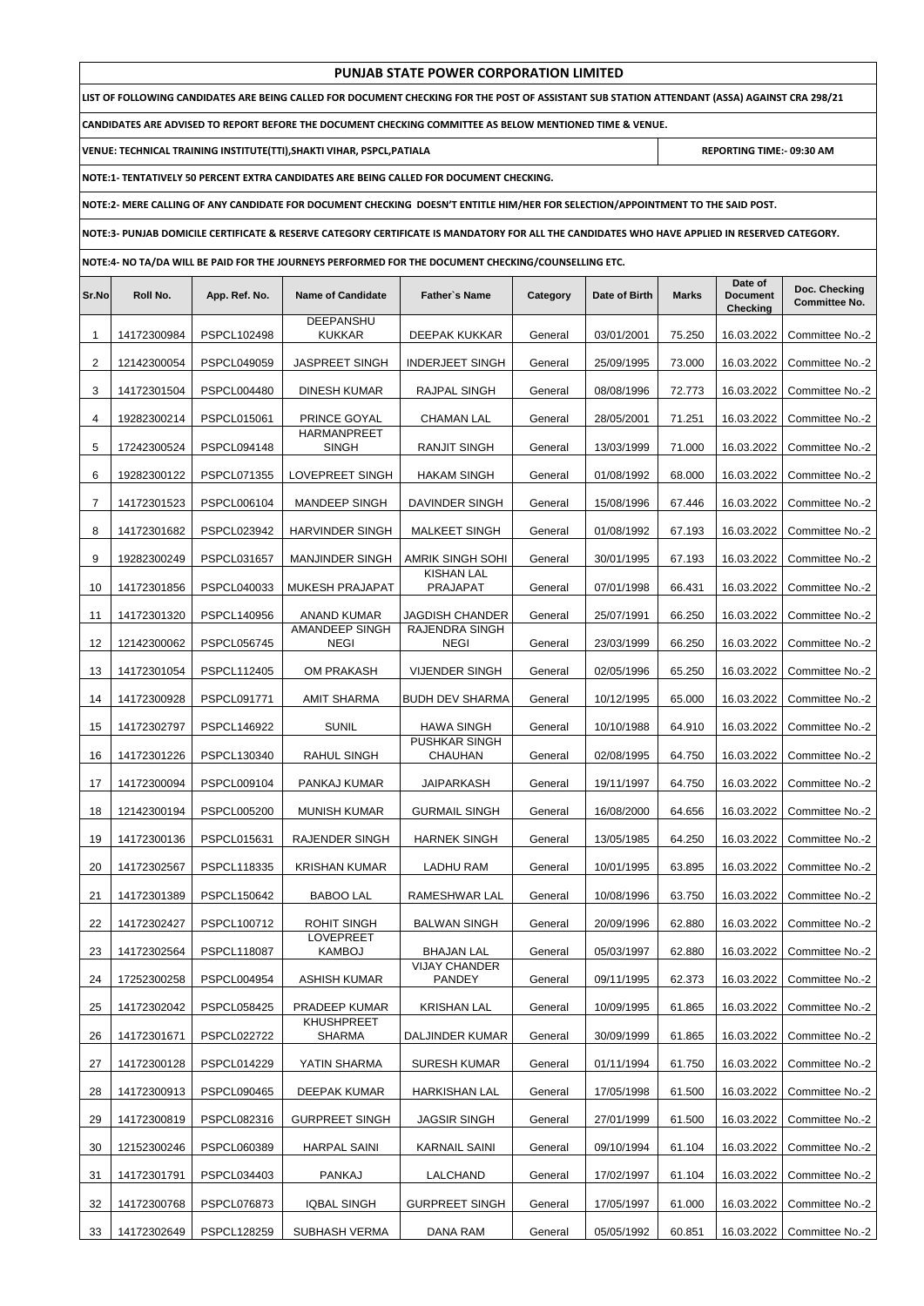|       | PUNJAB STATE POWER CORPORATION LIMITED                                                                                                        |                    |                                                                                         |                                      |          |               |              |                                        |                                       |  |  |
|-------|-----------------------------------------------------------------------------------------------------------------------------------------------|--------------------|-----------------------------------------------------------------------------------------|--------------------------------------|----------|---------------|--------------|----------------------------------------|---------------------------------------|--|--|
|       | LIST OF FOLLOWING CANDIDATES ARE BEING CALLED FOR DOCUMENT CHECKING FOR THE POST OF ASSISTANT SUB STATION ATTENDANT (ASSA) AGAINST CRA 298/21 |                    |                                                                                         |                                      |          |               |              |                                        |                                       |  |  |
|       | CANDIDATES ARE ADVISED TO REPORT BEFORE THE DOCUMENT CHECKING COMMITTEE AS BELOW MENTIONED TIME & VENUE.                                      |                    |                                                                                         |                                      |          |               |              |                                        |                                       |  |  |
|       |                                                                                                                                               |                    | VENUE: TECHNICAL TRAINING INSTITUTE(TTI), SHAKTI VIHAR, PSPCL, PATIALA                  |                                      |          |               |              | REPORTING TIME:- 09:30 AM              |                                       |  |  |
|       |                                                                                                                                               |                    | NOTE:1- TENTATIVELY 50 PERCENT EXTRA CANDIDATES ARE BEING CALLED FOR DOCUMENT CHECKING. |                                      |          |               |              |                                        |                                       |  |  |
|       | NOTE:2- MERE CALLING OF ANY CANDIDATE FOR DOCUMENT CHECKING DOESN'T ENTITLE HIM/HER FOR SELECTION/APPOINTMENT TO THE SAID POST.               |                    |                                                                                         |                                      |          |               |              |                                        |                                       |  |  |
|       | NOTE:3- PUNJAB DOMICILE CERTIFICATE & RESERVE CATEGORY CERTIFICATE IS MANDATORY FOR ALL THE CANDIDATES WHO HAVE APPLIED IN RESERVED CATEGORY. |                    |                                                                                         |                                      |          |               |              |                                        |                                       |  |  |
|       | NOTE:4- NO TA/DA WILL BE PAID FOR THE JOURNEYS PERFORMED FOR THE DOCUMENT CHECKING/COUNSELLING ETC.                                           |                    |                                                                                         |                                      |          |               |              |                                        |                                       |  |  |
| Sr.No | Roll No.                                                                                                                                      | App. Ref. No.      | <b>Name of Candidate</b>                                                                | Father's Name                        | Category | Date of Birth | <b>Marks</b> | Date of<br><b>Document</b><br>Checking | Doc. Checking<br><b>Committee No.</b> |  |  |
| 1     | 14172300984                                                                                                                                   | PSPCL102498        | DEEPANSHU<br><b>KUKKAR</b>                                                              | DEEPAK KUKKAR                        | General  | 03/01/2001    | 75.250       | 16.03.2022                             | Committee No.-2                       |  |  |
| 2     | 12142300054                                                                                                                                   | PSPCL049059        | <b>JASPREET SINGH</b>                                                                   | <b>INDERJEET SINGH</b>               | General  | 25/09/1995    | 73.000       | 16.03.2022                             | Committee No.-2                       |  |  |
| 3     | 14172301504                                                                                                                                   | <b>PSPCL004480</b> | DINESH KUMAR                                                                            | RAJPAL SINGH                         | General  | 08/08/1996    | 72.773       | 16.03.2022                             | Committee No.-2                       |  |  |
| 4     | 19282300214                                                                                                                                   | PSPCL015061        | PRINCE GOYAL<br><b>HARMANPREET</b>                                                      | <b>CHAMAN LAL</b>                    | General  | 28/05/2001    | 71.251       | 16.03.2022                             | Committee No.-2                       |  |  |
| 5     | 17242300524                                                                                                                                   | PSPCL094148        | <b>SINGH</b>                                                                            | <b>RANJIT SINGH</b>                  | General  | 13/03/1999    | 71.000       | 16.03.2022                             | Committee No.-2                       |  |  |
| 6     | 19282300122                                                                                                                                   | PSPCL071355        | LOVEPREET SINGH                                                                         | <b>HAKAM SINGH</b>                   | General  | 01/08/1992    | 68.000       | 16.03.2022                             | Committee No.-2                       |  |  |
| 7     | 14172301523                                                                                                                                   | PSPCL006104        | MANDEEP SINGH                                                                           | DAVINDER SINGH                       | General  | 15/08/1996    | 67.446       | 16.03.2022                             | Committee No.-2                       |  |  |
| 8     | 14172301682                                                                                                                                   | PSPCL023942        | <b>HARVINDER SINGH</b>                                                                  | <b>MALKEET SINGH</b>                 | General  | 01/08/1992    | 67.193       | 16.03.2022                             | Committee No.-2                       |  |  |
| 9     | 19282300249                                                                                                                                   | PSPCL031657        | <b>MANJINDER SINGH</b>                                                                  | AMRIK SINGH SOHI                     | General  | 30/01/1995    | 67.193       | 16.03.2022                             | Committee No.-2                       |  |  |
| 10    | 14172301856                                                                                                                                   | PSPCL040033        | <b>MUKESH PRAJAPAT</b>                                                                  | <b>KISHAN LAL</b><br><b>PRAJAPAT</b> | General  | 07/01/1998    | 66.431       | 16.03.2022                             | Committee No.-2                       |  |  |
| 11    | 14172301320                                                                                                                                   | PSPCL140956        | ANAND KUMAR                                                                             | JAGDISH CHANDER                      | General  | 25/07/1991    | 66.250       | 16.03.2022                             | Committee No.-2                       |  |  |
| 12    | 12142300062                                                                                                                                   | <b>PSPCL056745</b> | AMANDEEP SINGH<br><b>NEGI</b>                                                           | RAJENDRA SINGH<br><b>NEGI</b>        | General  | 23/03/1999    | 66.250       | 16.03.2022                             | Committee No.-2                       |  |  |
| 13    | 14172301054                                                                                                                                   | PSPCL112405        | OM PRAKASH                                                                              | <b>VIJENDER SINGH</b>                | General  | 02/05/1996    | 65.250       | 16.03.2022                             | Committee No.-2                       |  |  |
| 14    | 14172300928                                                                                                                                   | PSPCL091771        | AMIT SHARMA                                                                             | <b>BUDH DEV SHARMA</b>               | General  | 10/12/1995    | 65.000       | 16.03.2022                             | Committee No.-2                       |  |  |
| 15    | 14172302797                                                                                                                                   | <b>PSPCL146922</b> | <b>SUNIL</b>                                                                            | <b>HAWA SINGH</b>                    | General  | 10/10/1988    | 64.910       | 16.03.2022                             | Committee No.-2                       |  |  |
| 16    | 14172301226                                                                                                                                   | PSPCL130340        | RAHUL SINGH                                                                             | <b>PUSHKAR SINGH</b><br>CHAUHAN      | General  | 02/08/1995    | 64.750       | 16.03.2022                             | Committee No.-2                       |  |  |
| 17    | 14172300094                                                                                                                                   | PSPCL009104        | PANKAJ KUMAR                                                                            | JAIPARKASH                           | General  | 19/11/1997    | 64.750       | 16.03.2022                             | Committee No.-2                       |  |  |
| 18    | 12142300194                                                                                                                                   | <b>PSPCL005200</b> | MUNISH KUMAR                                                                            | <b>GURMAIL SINGH</b>                 | General  | 16/08/2000    | 64.656       | 16.03.2022                             | Committee No.-2                       |  |  |
| 19    | 14172300136                                                                                                                                   | PSPCL015631        | RAJENDER SINGH                                                                          | <b>HARNEK SINGH</b>                  | General  | 13/05/1985    | 64.250       | 16.03.2022                             | Committee No.-2                       |  |  |
| 20    | 14172302567                                                                                                                                   | PSPCL118335        | <b>KRISHAN KUMAR</b>                                                                    | LADHU RAM                            | General  | 10/01/1995    | 63.895       | 16.03.2022                             | Committee No.-2                       |  |  |
| 21    | 14172301389                                                                                                                                   | <b>PSPCL150642</b> | <b>BABOO LAL</b>                                                                        | RAMESHWAR LAL                        | General  | 10/08/1996    | 63.750       | 16.03.2022                             | Committee No.-2                       |  |  |
| 22    | 14172302427                                                                                                                                   | PSPCL100712        | <b>ROHIT SINGH</b>                                                                      | <b>BALWAN SINGH</b>                  | General  | 20/09/1996    | 62.880       | 16.03.2022                             | Committee No.-2                       |  |  |
| 23    | 14172302564                                                                                                                                   | <b>PSPCL118087</b> | <b>LOVEPREET</b><br>KAMBOJ                                                              | <b>BHAJAN LAL</b>                    | General  | 05/03/1997    | 62.880       | 16.03.2022                             | Committee No.-2                       |  |  |
| 24    | 17252300258                                                                                                                                   | PSPCL004954        | <b>ASHISH KUMAR</b>                                                                     | <b>VIJAY CHANDER</b><br>PANDEY       | General  | 09/11/1995    | 62.373       | 16.03.2022                             | Committee No.-2                       |  |  |
| 25    | 14172302042                                                                                                                                   | <b>PSPCL058425</b> | PRADEEP KUMAR                                                                           | <b>KRISHAN LAL</b>                   | General  | 10/09/1995    | 61.865       | 16.03.2022                             | Committee No.-2                       |  |  |
| 26    | 14172301671                                                                                                                                   | <b>PSPCL022722</b> | <b>KHUSHPREET</b><br>SHARMA                                                             | DALJINDER KUMAR                      | General  | 30/09/1999    | 61.865       | 16.03.2022                             | Committee No.-2                       |  |  |
| 27    | 14172300128                                                                                                                                   | PSPCL014229        | YATIN SHARMA                                                                            | <b>SURESH KUMAR</b>                  | General  | 01/11/1994    | 61.750       | 16.03.2022                             | Committee No.-2                       |  |  |
| 28    | 14172300913                                                                                                                                   | <b>PSPCL090465</b> | DEEPAK KUMAR                                                                            | <b>HARKISHAN LAL</b>                 | General  | 17/05/1998    | 61.500       | 16.03.2022                             | Committee No.-2                       |  |  |
| 29    | 14172300819                                                                                                                                   | PSPCL082316        | <b>GURPREET SINGH</b>                                                                   | <b>JAGSIR SINGH</b>                  | General  | 27/01/1999    | 61.500       | 16.03.2022                             | Committee No.-2                       |  |  |
| 30    | 12152300246                                                                                                                                   | PSPCL060389        | <b>HARPAL SAINI</b>                                                                     | <b>KARNAIL SAINI</b>                 | General  | 09/10/1994    | 61.104       | 16.03.2022                             | Committee No.-2                       |  |  |
| 31    | 14172301791                                                                                                                                   | PSPCL034403        | PANKAJ                                                                                  | LALCHAND                             | General  | 17/02/1997    | 61.104       | 16.03.2022                             | Committee No.-2                       |  |  |
| 32    | 14172300768                                                                                                                                   | PSPCL076873        | <b>IQBAL SINGH</b>                                                                      | <b>GURPREET SINGH</b>                | General  | 17/05/1997    | 61.000       | 16.03.2022                             | Committee No.-2                       |  |  |
| 33    | 14172302649                                                                                                                                   | PSPCL128259        | SUBHASH VERMA                                                                           | DANA RAM                             | General  | 05/05/1992    | 60.851       | 16.03.2022                             | Committee No.-2                       |  |  |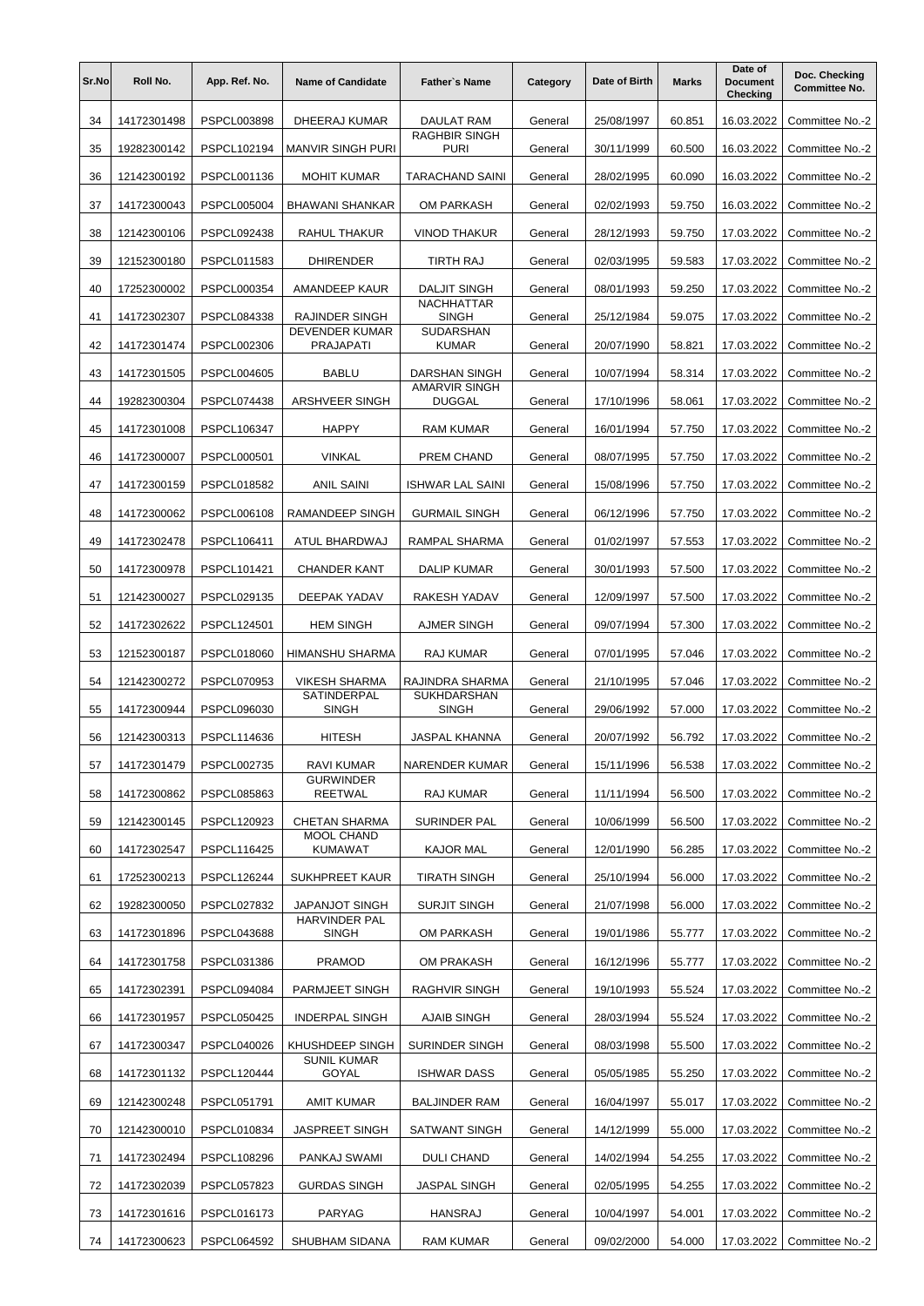| Sr.No | Roll No.    | App. Ref. No. | <b>Name of Candidate</b>            | <b>Father's Name</b>                  | Category | Date of Birth | <b>Marks</b> | Date of<br><b>Document</b><br>Checking | Doc. Checking<br><b>Committee No.</b> |
|-------|-------------|---------------|-------------------------------------|---------------------------------------|----------|---------------|--------------|----------------------------------------|---------------------------------------|
| 34    | 14172301498 | PSPCL003898   | DHEERAJ KUMAR                       | DAULAT RAM                            | General  | 25/08/1997    | 60.851       | 16.03.2022                             | Committee No.-2                       |
| 35    | 19282300142 | PSPCL102194   | <b>MANVIR SINGH PURI</b>            | <b>RAGHBIR SINGH</b><br><b>PURI</b>   | General  | 30/11/1999    | 60.500       | 16.03.2022                             | Committee No.-2                       |
| 36    | 12142300192 | PSPCL001136   | <b>MOHIT KUMAR</b>                  | <b>TARACHAND SAINI</b>                | General  | 28/02/1995    | 60.090       | 16.03.2022                             | Committee No.-2                       |
| 37    | 14172300043 | PSPCL005004   | <b>BHAWANI SHANKAR</b>              | OM PARKASH                            | General  | 02/02/1993    | 59.750       | 16.03.2022                             | Committee No.-2                       |
| 38    | 12142300106 | PSPCL092438   | RAHUL THAKUR                        | <b>VINOD THAKUR</b>                   | General  | 28/12/1993    | 59.750       | 17.03.2022                             | Committee No.-2                       |
| 39    | 12152300180 | PSPCL011583   | <b>DHIRENDER</b>                    | TIRTH RAJ                             | General  | 02/03/1995    | 59.583       | 17.03.2022                             | Committee No.-2                       |
| 40    | 17252300002 | PSPCL000354   | AMANDEEP KAUR                       | <b>DALJIT SINGH</b>                   | General  | 08/01/1993    | 59.250       | 17.03.2022                             | Committee No.-2                       |
| 41    | 14172302307 | PSPCL084338   | RAJINDER SINGH                      | <b>NACHHATTAR</b><br><b>SINGH</b>     | General  | 25/12/1984    | 59.075       | 17.03.2022                             | Committee No.-2                       |
| 42    | 14172301474 | PSPCL002306   | DEVENDER KUMAR<br><b>PRAJAPATI</b>  | SUDARSHAN<br><b>KUMAR</b>             | General  | 20/07/1990    | 58.821       | 17.03.2022                             | Committee No.-2                       |
| 43    | 14172301505 | PSPCL004605   | <b>BABLU</b>                        | DARSHAN SINGH                         | General  | 10/07/1994    | 58.314       | 17.03.2022                             | Committee No.-2                       |
| 44    | 19282300304 | PSPCL074438   | <b>ARSHVEER SINGH</b>               | <b>AMARVIR SINGH</b><br><b>DUGGAL</b> | General  | 17/10/1996    | 58.061       | 17.03.2022                             | Committee No.-2                       |
| 45    | 14172301008 | PSPCL106347   | <b>HAPPY</b>                        | <b>RAM KUMAR</b>                      | General  | 16/01/1994    | 57.750       | 17.03.2022                             | Committee No.-2                       |
| 46    | 14172300007 | PSPCL000501   | <b>VINKAL</b>                       | PREM CHAND                            | General  | 08/07/1995    | 57.750       | 17.03.2022                             | Committee No.-2                       |
| 47    | 14172300159 | PSPCL018582   | <b>ANIL SAINI</b>                   | <b>ISHWAR LAL SAINI</b>               | General  | 15/08/1996    | 57.750       | 17.03.2022                             | Committee No.-2                       |
| 48    | 14172300062 | PSPCL006108   | RAMANDEEP SINGH                     | <b>GURMAIL SINGH</b>                  | General  | 06/12/1996    | 57.750       | 17.03.2022                             | Committee No.-2                       |
| 49    | 14172302478 | PSPCL106411   | ATUL BHARDWAJ                       | RAMPAL SHARMA                         | General  | 01/02/1997    | 57.553       | 17.03.2022                             | Committee No.-2                       |
| 50    | 14172300978 | PSPCL101421   | <b>CHANDER KANT</b>                 | <b>DALIP KUMAR</b>                    | General  | 30/01/1993    | 57.500       | 17.03.2022                             | Committee No.-2                       |
| 51    | 12142300027 | PSPCL029135   | DEEPAK YADAV                        | RAKESH YADAV                          | General  | 12/09/1997    | 57.500       | 17.03.2022                             | Committee No.-2                       |
| 52    | 14172302622 | PSPCL124501   | <b>HEM SINGH</b>                    | <b>AJMER SINGH</b>                    | General  | 09/07/1994    | 57.300       | 17.03.2022                             | Committee No.-2                       |
| 53    | 12152300187 | PSPCL018060   | HIMANSHU SHARMA                     | RAJ KUMAR                             | General  | 07/01/1995    | 57.046       | 17.03.2022                             | Committee No.-2                       |
| 54    | 12142300272 | PSPCL070953   | <b>VIKESH SHARMA</b>                | RAJINDRA SHARMA                       | General  | 21/10/1995    | 57.046       | 17.03.2022                             | Committee No.-2                       |
| 55    | 14172300944 | PSPCL096030   | SATINDERPAL<br><b>SINGH</b>         | <b>SUKHDARSHAN</b><br><b>SINGH</b>    | General  | 29/06/1992    | 57.000       | 17.03.2022                             | Committee No.-2                       |
| 56    | 12142300313 | PSPCL114636   | <b>HITESH</b>                       | JASPAL KHANNA                         | General  | 20/07/1992    | 56.792       | 17.03.2022                             | Committee No.-2                       |
| 57    | 14172301479 | PSPCL002735   | RAVI KUMAR                          | <b>NARENDER KUMAR</b>                 | General  | 15/11/1996    | 56.538       | 17.03.2022                             | Committee No.-2                       |
| 58    | 14172300862 | PSPCL085863   | <b>GURWINDER</b><br><b>REETWAL</b>  | RAJ KUMAR                             | General  | 11/11/1994    | 56.500       | 17.03.2022                             | Committee No.-2                       |
| 59    | 12142300145 | PSPCL120923   | <b>CHETAN SHARMA</b>                | SURINDER PAL                          | General  | 10/06/1999    | 56.500       | 17.03.2022                             | Committee No.-2                       |
| 60    | 14172302547 | PSPCL116425   | <b>MOOL CHAND</b><br><b>KUMAWAT</b> | KAJOR MAL                             | General  | 12/01/1990    | 56.285       | 17.03.2022                             | Committee No.-2                       |
| 61    | 17252300213 | PSPCL126244   | SUKHPREET KAUR                      | <b>TIRATH SINGH</b>                   | General  | 25/10/1994    | 56.000       | 17.03.2022                             | Committee No.-2                       |
| 62    | 19282300050 | PSPCL027832   | JAPANJOT SINGH                      | <b>SURJIT SINGH</b>                   | General  | 21/07/1998    | 56.000       | 17.03.2022                             | Committee No.-2                       |
| 63    | 14172301896 | PSPCL043688   | <b>HARVINDER PAL</b><br>SINGH       | OM PARKASH                            | General  | 19/01/1986    | 55.777       | 17.03.2022                             | Committee No.-2                       |
| 64    | 14172301758 | PSPCL031386   | <b>PRAMOD</b>                       | OM PRAKASH                            | General  | 16/12/1996    | 55.777       | 17.03.2022                             | Committee No.-2                       |
| 65    | 14172302391 | PSPCL094084   | PARMJEET SINGH                      | RAGHVIR SINGH                         | General  | 19/10/1993    | 55.524       | 17.03.2022                             | Committee No.-2                       |
| 66    | 14172301957 | PSPCL050425   | <b>INDERPAL SINGH</b>               | AJAIB SINGH                           | General  | 28/03/1994    | 55.524       | 17.03.2022                             | Committee No.-2                       |
| 67    | 14172300347 | PSPCL040026   | KHUSHDEEP SINGH                     | SURINDER SINGH                        | General  | 08/03/1998    | 55.500       | 17.03.2022                             | Committee No.-2                       |
| 68    | 14172301132 | PSPCL120444   | <b>SUNIL KUMAR</b><br>GOYAL         | <b>ISHWAR DASS</b>                    | General  | 05/05/1985    | 55.250       | 17.03.2022                             | Committee No.-2                       |
| 69    | 12142300248 | PSPCL051791   | <b>AMIT KUMAR</b>                   | <b>BALJINDER RAM</b>                  | General  | 16/04/1997    | 55.017       | 17.03.2022                             | Committee No.-2                       |
| 70    | 12142300010 | PSPCL010834   | <b>JASPREET SINGH</b>               | <b>SATWANT SINGH</b>                  | General  | 14/12/1999    | 55.000       | 17.03.2022                             | Committee No.-2                       |
| 71    | 14172302494 | PSPCL108296   | PANKAJ SWAMI                        | <b>DULI CHAND</b>                     | General  | 14/02/1994    | 54.255       | 17.03.2022                             | Committee No.-2                       |
| 72    | 14172302039 | PSPCL057823   | <b>GURDAS SINGH</b>                 | JASPAL SINGH                          | General  | 02/05/1995    | 54.255       | 17.03.2022                             | Committee No.-2                       |
| 73    | 14172301616 | PSPCL016173   | PARYAG                              | <b>HANSRAJ</b>                        | General  | 10/04/1997    | 54.001       | 17.03.2022                             | Committee No.-2                       |
| 74    | 14172300623 | PSPCL064592   | SHUBHAM SIDANA                      | <b>RAM KUMAR</b>                      | General  | 09/02/2000    | 54.000       | 17.03.2022                             | Committee No.-2                       |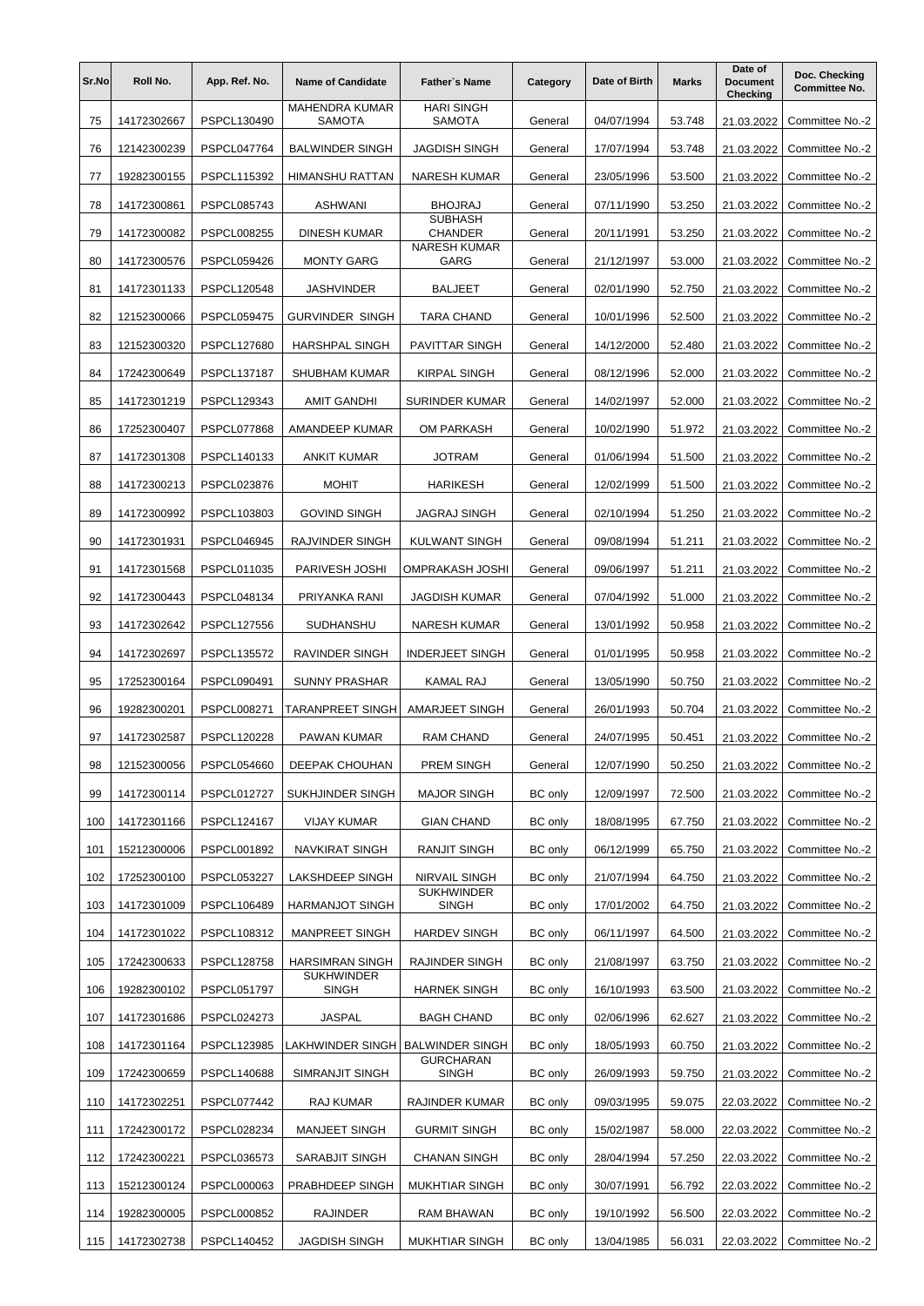| Sr.No | Roll No.    | App. Ref. No.      | <b>Name of Candidate</b>               | <b>Father's Name</b>               | Category       | Date of Birth | <b>Marks</b> | Date of<br><b>Document</b><br>Checking | Doc. Checking<br><b>Committee No.</b> |
|-------|-------------|--------------------|----------------------------------------|------------------------------------|----------------|---------------|--------------|----------------------------------------|---------------------------------------|
| 75    | 14172302667 | PSPCL130490        | <b>MAHENDRA KUMAR</b><br><b>SAMOTA</b> | <b>HARI SINGH</b><br><b>SAMOTA</b> | General        | 04/07/1994    | 53.748       | 21.03.2022                             | Committee No.-2                       |
| 76    | 12142300239 | <b>PSPCL047764</b> | <b>BALWINDER SINGH</b>                 | JAGDISH SINGH                      | General        | 17/07/1994    | 53.748       | 21.03.2022                             | Committee No.-2                       |
| 77    | 19282300155 | <b>PSPCL115392</b> | <b>HIMANSHU RATTAN</b>                 | <b>NARESH KUMAR</b>                | General        | 23/05/1996    | 53.500       | 21.03.2022                             | Committee No.-2                       |
| 78    | 14172300861 | <b>PSPCL085743</b> | <b>ASHWANI</b>                         | <b>BHOJRAJ</b>                     | General        | 07/11/1990    | 53.250       | 21.03.2022                             | Committee No.-2                       |
| 79    | 14172300082 | <b>PSPCL008255</b> | <b>DINESH KUMAR</b>                    | <b>SUBHASH</b><br><b>CHANDER</b>   | General        | 20/11/1991    | 53.250       | 21.03.2022                             | Committee No.-2                       |
| 80    | 14172300576 | <b>PSPCL059426</b> | <b>MONTY GARG</b>                      | <b>NARESH KUMAR</b><br>GARG        | General        | 21/12/1997    | 53.000       | 21.03.2022                             | Committee No.-2                       |
| 81    | 14172301133 | <b>PSPCL120548</b> | <b>JASHVINDER</b>                      | <b>BALJEET</b>                     | General        | 02/01/1990    | 52.750       | 21.03.2022                             | Committee No.-2                       |
| 82    | 12152300066 | <b>PSPCL059475</b> | <b>GURVINDER SINGH</b>                 | <b>TARA CHAND</b>                  | General        | 10/01/1996    | 52.500       | 21.03.2022                             | Committee No.-2                       |
| 83    | 12152300320 | <b>PSPCL127680</b> | <b>HARSHPAL SINGH</b>                  | <b>PAVITTAR SINGH</b>              | General        | 14/12/2000    | 52.480       | 21.03.2022                             | Committee No.-2                       |
| 84    | 17242300649 | <b>PSPCL137187</b> | <b>SHUBHAM KUMAR</b>                   | <b>KIRPAL SINGH</b>                | General        | 08/12/1996    | 52.000       | 21.03.2022                             | Committee No.-2                       |
| 85    | 14172301219 | PSPCL129343        | <b>AMIT GANDHI</b>                     | <b>SURINDER KUMAR</b>              | General        | 14/02/1997    | 52.000       | 21.03.2022                             | Committee No.-2                       |
| 86    | 17252300407 | <b>PSPCL077868</b> | AMANDEEP KUMAR                         | OM PARKASH                         | General        | 10/02/1990    | 51.972       | 21.03.2022                             | Committee No.-2                       |
| 87    | 14172301308 | PSPCL140133        | <b>ANKIT KUMAR</b>                     | <b>JOTRAM</b>                      | General        | 01/06/1994    | 51.500       | 21.03.2022                             | Committee No.-2                       |
| 88    | 14172300213 | PSPCL023876        | <b>MOHIT</b>                           | <b>HARIKESH</b>                    | General        | 12/02/1999    | 51.500       | 21.03.2022                             | Committee No.-2                       |
| 89    | 14172300992 | PSPCL103803        | <b>GOVIND SINGH</b>                    | <b>JAGRAJ SINGH</b>                | General        | 02/10/1994    | 51.250       | 21.03.2022                             | Committee No.-2                       |
| 90    | 14172301931 | <b>PSPCL046945</b> | RAJVINDER SINGH                        | <b>KULWANT SINGH</b>               | General        | 09/08/1994    | 51.211       | 21.03.2022                             | Committee No.-2                       |
| 91    | 14172301568 | PSPCL011035        | PARIVESH JOSHI                         | <b>OMPRAKASH JOSHI</b>             | General        | 09/06/1997    | 51.211       | 21.03.2022                             | Committee No.-2                       |
| 92    | 14172300443 | PSPCL048134        | PRIYANKA RANI                          | JAGDISH KUMAR                      | General        | 07/04/1992    | 51.000       | 21.03.2022                             | Committee No.-2                       |
| 93    | 14172302642 | <b>PSPCL127556</b> | <b>SUDHANSHU</b>                       | <b>NARESH KUMAR</b>                | General        | 13/01/1992    | 50.958       | 21.03.2022                             | Committee No.-2                       |
| 94    | 14172302697 | <b>PSPCL135572</b> | RAVINDER SINGH                         | <b>INDERJEET SINGH</b>             | General        | 01/01/1995    | 50.958       | 21.03.2022                             | Committee No.-2                       |
| 95    | 17252300164 | PSPCL090491        | <b>SUNNY PRASHAR</b>                   | <b>KAMAL RAJ</b>                   | General        | 13/05/1990    | 50.750       | 21.03.2022                             | Committee No.-2                       |
| 96    | 19282300201 | PSPCL008271        | TARANPREET SINGH                       | <b>AMARJEET SINGH</b>              | General        | 26/01/1993    | 50.704       | 21.03.2022                             | Committee No.-2                       |
| 97    | 14172302587 | <b>PSPCL120228</b> | <b>PAWAN KUMAR</b>                     | <b>RAM CHAND</b>                   | General        | 24/07/1995    | 50.451       | 21.03.2022                             | Committee No.-2                       |
| 98    | 12152300056 | PSPCL054660        | DEEPAK CHOUHAN                         | PREM SINGH                         | General        | 12/07/1990    | 50.250       | 21.03.2022                             | Committee No.-2                       |
| 99    | 14172300114 | PSPCL012727        | SUKHJINDER SINGH                       | <b>MAJOR SINGH</b>                 | <b>BC</b> only | 12/09/1997    | 72.500       | 21.03.2022                             | Committee No.-2                       |
| 100   | 14172301166 | PSPCL124167        | <b>VIJAY KUMAR</b>                     | <b>GIAN CHAND</b>                  | BC only        | 18/08/1995    | 67.750       | 21.03.2022                             | Committee No.-2                       |
| 101   | 15212300006 | PSPCL001892        | NAVKIRAT SINGH                         | RANJIT SINGH                       | <b>BC</b> only | 06/12/1999    | 65.750       | 21.03.2022                             | Committee No.-2                       |
| 102   | 17252300100 | PSPCL053227        | LAKSHDEEP SINGH                        | NIRVAIL SINGH                      | <b>BC</b> only | 21/07/1994    | 64.750       | 21.03.2022                             | Committee No.-2                       |
| 103   | 14172301009 | PSPCL106489        | HARMANJOT SINGH                        | <b>SUKHWINDER</b><br><b>SINGH</b>  | <b>BC</b> only | 17/01/2002    | 64.750       | 21.03.2022                             | Committee No.-2                       |
| 104   | 14172301022 | PSPCL108312        | MANPREET SINGH                         | <b>HARDEV SINGH</b>                | <b>BC</b> only | 06/11/1997    | 64.500       | 21.03.2022                             | Committee No.-2                       |
| 105   | 17242300633 | <b>PSPCL128758</b> | HARSIMRAN SINGH                        | RAJINDER SINGH                     | <b>BC</b> only | 21/08/1997    | 63.750       | 21.03.2022                             | Committee No.-2                       |
| 106   | 19282300102 | <b>PSPCL051797</b> | <b>SUKHWINDER</b><br><b>SINGH</b>      | <b>HARNEK SINGH</b>                | <b>BC</b> only | 16/10/1993    | 63.500       | 21.03.2022                             | Committee No.-2                       |
| 107   | 14172301686 | PSPCL024273        | <b>JASPAL</b>                          | <b>BAGH CHAND</b>                  | <b>BC</b> only | 02/06/1996    | 62.627       | 21.03.2022                             | Committee No.-2                       |
| 108   | 14172301164 | PSPCL123985        | LAKHWINDER SINGH BALWINDER SINGH       |                                    | <b>BC</b> only | 18/05/1993    | 60.750       | 21.03.2022                             | Committee No.-2                       |
| 109   | 17242300659 | PSPCL140688        | SIMRANJIT SINGH                        | <b>GURCHARAN</b><br>SINGH          | <b>BC</b> only | 26/09/1993    | 59.750       | 21.03.2022                             | Committee No.-2                       |
| 110   | 14172302251 | PSPCL077442        | RAJ KUMAR                              | RAJINDER KUMAR                     | <b>BC</b> only | 09/03/1995    | 59.075       | 22.03.2022                             | Committee No.-2                       |
| 111   | 17242300172 | PSPCL028234        | <b>MANJEET SINGH</b>                   | <b>GURMIT SINGH</b>                | <b>BC</b> only | 15/02/1987    | 58.000       | 22.03.2022                             | Committee No.-2                       |
| 112   | 17242300221 | PSPCL036573        | SARABJIT SINGH                         | <b>CHANAN SINGH</b>                | <b>BC</b> only | 28/04/1994    | 57.250       | 22.03.2022                             | Committee No.-2                       |
| 113   | 15212300124 | PSPCL000063        | PRABHDEEP SINGH                        | MUKHTIAR SINGH                     | <b>BC</b> only | 30/07/1991    | 56.792       | 22.03.2022                             | Committee No.-2                       |
| 114   | 19282300005 | PSPCL000852        | RAJINDER                               | RAM BHAWAN                         | <b>BC</b> only | 19/10/1992    | 56.500       | 22.03.2022                             | Committee No.-2                       |
| 115   | 14172302738 | PSPCL140452        | JAGDISH SINGH                          | MUKHTIAR SINGH                     | <b>BC</b> only | 13/04/1985    | 56.031       | 22.03.2022                             | Committee No.-2                       |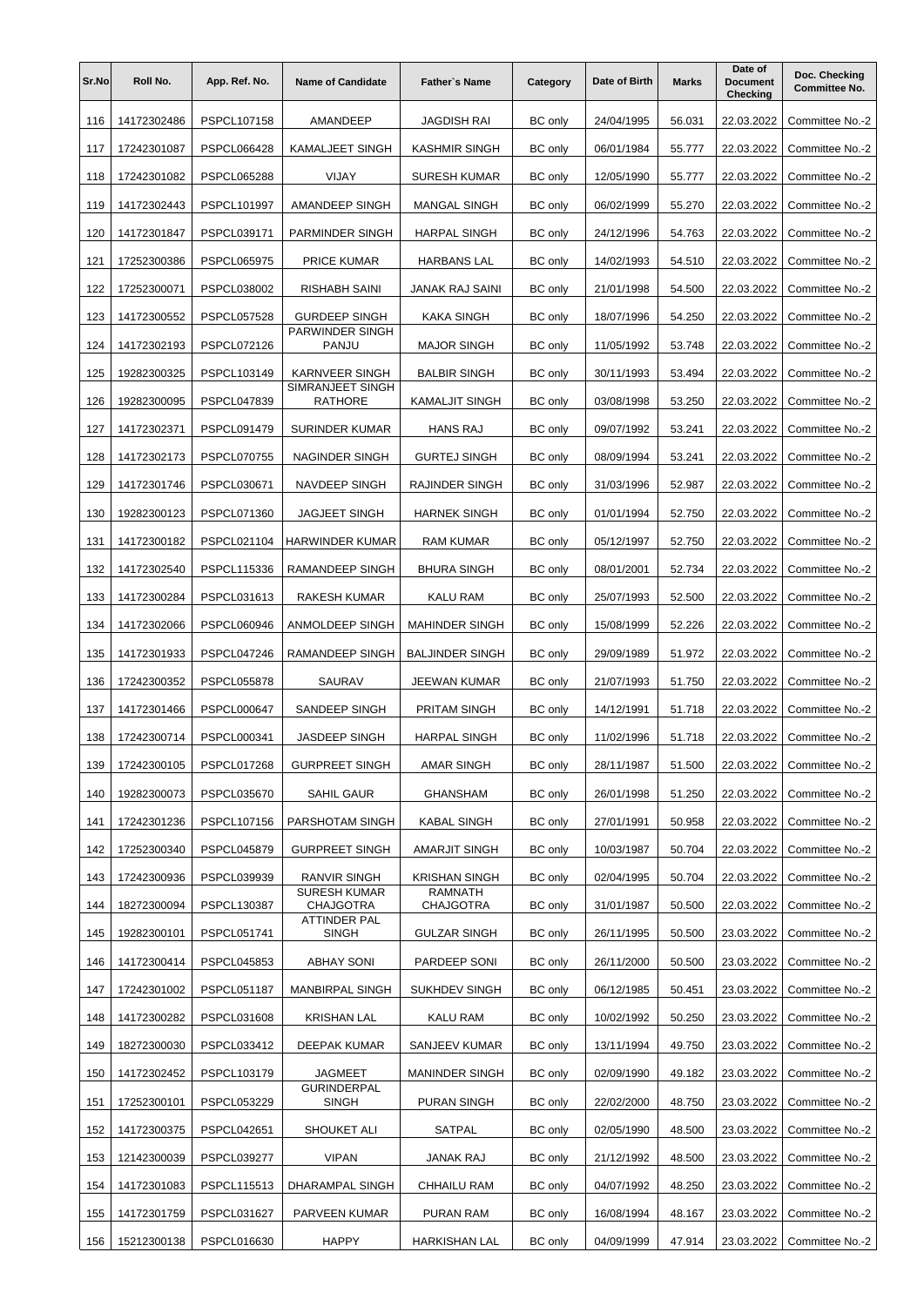| Sr.No | Roll No.    | App. Ref. No.      | <b>Name of Candidate</b>           | <b>Father's Name</b>        | Category       | Date of Birth | <b>Marks</b> | Date of<br><b>Document</b><br>Checking | Doc. Checking<br><b>Committee No.</b> |
|-------|-------------|--------------------|------------------------------------|-----------------------------|----------------|---------------|--------------|----------------------------------------|---------------------------------------|
| 116   | 14172302486 | PSPCL107158        | <b>AMANDEEP</b>                    | <b>JAGDISH RAI</b>          | <b>BC</b> only | 24/04/1995    | 56.031       | 22.03.2022                             | Committee No.-2                       |
| 117   | 17242301087 | <b>PSPCL066428</b> | <b>KAMALJEET SINGH</b>             | <b>KASHMIR SINGH</b>        | <b>BC</b> only | 06/01/1984    | 55.777       | 22.03.2022                             | Committee No.-2                       |
| 118   | 17242301082 | <b>PSPCL065288</b> | VIJAY                              | <b>SURESH KUMAR</b>         | <b>BC</b> only | 12/05/1990    | 55.777       | 22.03.2022                             | Committee No.-2                       |
| 119   | 14172302443 | PSPCL101997        | AMANDEEP SINGH                     | <b>MANGAL SINGH</b>         | <b>BC</b> only | 06/02/1999    | 55.270       | 22.03.2022                             | Committee No.-2                       |
| 120   | 14172301847 | PSPCL039171        | PARMINDER SINGH                    | <b>HARPAL SINGH</b>         | <b>BC</b> only | 24/12/1996    | 54.763       | 22.03.2022                             | Committee No.-2                       |
| 121   | 17252300386 | <b>PSPCL065975</b> | PRICE KUMAR                        | <b>HARBANS LAL</b>          | <b>BC</b> only | 14/02/1993    | 54.510       | 22.03.2022                             | Committee No.-2                       |
| 122   | 17252300071 | PSPCL038002        | RISHABH SAINI                      | JANAK RAJ SAINI             | <b>BC</b> only | 21/01/1998    | 54.500       | 22.03.2022                             | Committee No.-2                       |
| 123   | 14172300552 | <b>PSPCL057528</b> | <b>GURDEEP SINGH</b>               | KAKA SINGH                  | <b>BC</b> only | 18/07/1996    | 54.250       | 22.03.2022                             | Committee No.-2                       |
| 124   | 14172302193 | PSPCL072126        | PARWINDER SINGH<br>PANJU           | <b>MAJOR SINGH</b>          | <b>BC</b> only | 11/05/1992    | 53.748       | 22.03.2022                             | Committee No.-2                       |
| 125   | 19282300325 | PSPCL103149        | <b>KARNVEER SINGH</b>              | <b>BALBIR SINGH</b>         | <b>BC</b> only | 30/11/1993    | 53.494       | 22.03.2022                             | Committee No.-2                       |
| 126   | 19282300095 | PSPCL047839        | SIMRANJEET SINGH<br>RATHORE        | <b>KAMALJIT SINGH</b>       | <b>BC</b> only | 03/08/1998    | 53.250       | 22.03.2022                             | Committee No.-2                       |
| 127   | 14172302371 | PSPCL091479        | <b>SURINDER KUMAR</b>              | <b>HANS RAJ</b>             | <b>BC</b> only | 09/07/1992    | 53.241       | 22.03.2022                             | Committee No.-2                       |
| 128   | 14172302173 | <b>PSPCL070755</b> | NAGINDER SINGH                     | <b>GURTEJ SINGH</b>         | <b>BC</b> only | 08/09/1994    | 53.241       | 22.03.2022                             | Committee No.-2                       |
| 129   | 14172301746 | PSPCL030671        | NAVDEEP SINGH                      | RAJINDER SINGH              | <b>BC</b> only | 31/03/1996    | 52.987       | 22.03.2022                             | Committee No.-2                       |
| 130   | 19282300123 | PSPCL071360        | <b>JAGJEET SINGH</b>               | <b>HARNEK SINGH</b>         | <b>BC</b> only | 01/01/1994    | 52.750       | 22.03.2022                             | Committee No.-2                       |
| 131   | 14172300182 | PSPCL021104        | <b>HARWINDER KUMAR</b>             | <b>RAM KUMAR</b>            | <b>BC</b> only | 05/12/1997    | 52.750       | 22.03.2022                             | Committee No.-2                       |
| 132   | 14172302540 | PSPCL115336        | RAMANDEEP SINGH                    | <b>BHURA SINGH</b>          | <b>BC</b> only | 08/01/2001    | 52.734       | 22.03.2022                             | Committee No.-2                       |
| 133   | 14172300284 | PSPCL031613        | RAKESH KUMAR                       | <b>KALU RAM</b>             | <b>BC</b> only | 25/07/1993    | 52.500       | 22.03.2022                             | Committee No.-2                       |
| 134   | 14172302066 | <b>PSPCL060946</b> | ANMOLDEEP SINGH                    | <b>MAHINDER SINGH</b>       | <b>BC</b> only | 15/08/1999    | 52.226       | 22.03.2022                             | Committee No.-2                       |
| 135   | 14172301933 | PSPCL047246        | RAMANDEEP SINGH                    | <b>BALJINDER SINGH</b>      | <b>BC</b> only | 29/09/1989    | 51.972       | 22.03.2022                             | Committee No.-2                       |
| 136   | 17242300352 | <b>PSPCL055878</b> | SAURAV                             | <b>JEEWAN KUMAR</b>         | <b>BC</b> only | 21/07/1993    | 51.750       | 22.03.2022                             | Committee No.-2                       |
| 137   | 14172301466 | <b>PSPCL000647</b> | SANDEEP SINGH                      | <b>PRITAM SINGH</b>         | <b>BC</b> only | 14/12/1991    | 51.718       | 22.03.2022                             | Committee No.-2                       |
| 138   | 17242300714 | PSPCL000341        | <b>JASDEEP SINGH</b>               | <b>HARPAL SINGH</b>         | <b>BC</b> only | 11/02/1996    | 51.718       | 22.03.2022                             | Committee No.-2                       |
| 139   | 17242300105 | PSPCL017268        | <b>GURPREET SINGH</b>              | <b>AMAR SINGH</b>           | BC only        | 28/11/1987    | 51.500       | 22.03.2022                             | Committee No.-2                       |
| 140   | 19282300073 | PSPCL035670        | SAHIL GAUR                         | <b>GHANSHAM</b>             | <b>BC</b> only | 26/01/1998    | 51.250       | 22.03.2022                             | Committee No.-2                       |
| 141   | 17242301236 | PSPCL107156        | PARSHOTAM SINGH                    | KABAL SINGH                 | BC only        | 27/01/1991    | 50.958       | 22.03.2022                             | Committee No.-2                       |
| 142   | 17252300340 | PSPCL045879        | <b>GURPREET SINGH</b>              | AMARJIT SINGH               | BC only        | 10/03/1987    | 50.704       | 22.03.2022                             | Committee No.-2                       |
| 143   | 17242300936 | PSPCL039939        | RANVIR SINGH                       | KRISHAN SINGH               | BC only        | 02/04/1995    | 50.704       | 22.03.2022                             | Committee No.-2                       |
| 144   | 18272300094 | PSPCL130387        | SURESH KUMAR<br>CHAJGOTRA          | RAMNATH<br><b>CHAJGOTRA</b> | BC only        | 31/01/1987    | 50.500       | 22.03.2022                             | Committee No.-2                       |
| 145   | 19282300101 | PSPCL051741        | ATTINDER PAL<br><b>SINGH</b>       | GULZAR SINGH                | BC only        | 26/11/1995    | 50.500       | 23.03.2022                             | Committee No.-2                       |
| 146   | 14172300414 | PSPCL045853        | <b>ABHAY SONI</b>                  | PARDEEP SONI                | BC only        | 26/11/2000    | 50.500       | 23.03.2022                             | Committee No.-2                       |
| 147   | 17242301002 | PSPCL051187        | MANBIRPAL SINGH                    | <b>SUKHDEV SINGH</b>        | BC only        | 06/12/1985    | 50.451       | 23.03.2022                             | Committee No.-2                       |
| 148   | 14172300282 | PSPCL031608        | KRISHAN LAL                        | KALU RAM                    | <b>BC</b> only | 10/02/1992    | 50.250       | 23.03.2022                             | Committee No.-2                       |
| 149   | 18272300030 | PSPCL033412        | DEEPAK KUMAR                       | SANJEEV KUMAR               | <b>BC</b> only | 13/11/1994    | 49.750       | 23.03.2022                             | Committee No.-2                       |
| 150   | 14172302452 | PSPCL103179        | JAGMEET                            | MANINDER SINGH              | <b>BC</b> only | 02/09/1990    | 49.182       | 23.03.2022                             | Committee No.-2                       |
| 151   | 17252300101 | PSPCL053229        | <b>GURINDERPAL</b><br><b>SINGH</b> | PURAN SINGH                 | <b>BC</b> only | 22/02/2000    | 48.750       | 23.03.2022                             | Committee No.-2                       |
| 152   | 14172300375 | PSPCL042651        | SHOUKET ALI                        | SATPAL                      | <b>BC</b> only | 02/05/1990    | 48.500       | 23.03.2022                             | Committee No.-2                       |
| 153   | 12142300039 | PSPCL039277        | VIPAN                              | JANAK RAJ                   | <b>BC</b> only | 21/12/1992    | 48.500       | 23.03.2022                             | Committee No.-2                       |
| 154   | 14172301083 | PSPCL115513        | DHARAMPAL SINGH                    | CHHAILU RAM                 | <b>BC</b> only | 04/07/1992    | 48.250       | 23.03.2022                             | Committee No.-2                       |
| 155   | 14172301759 | PSPCL031627        | PARVEEN KUMAR                      | PURAN RAM                   | <b>BC</b> only | 16/08/1994    | 48.167       | 23.03.2022                             | Committee No.-2                       |
| 156   | 15212300138 | PSPCL016630        | HAPPY                              | <b>HARKISHAN LAL</b>        | BC only        | 04/09/1999    | 47.914       | 23.03.2022                             | Committee No.-2                       |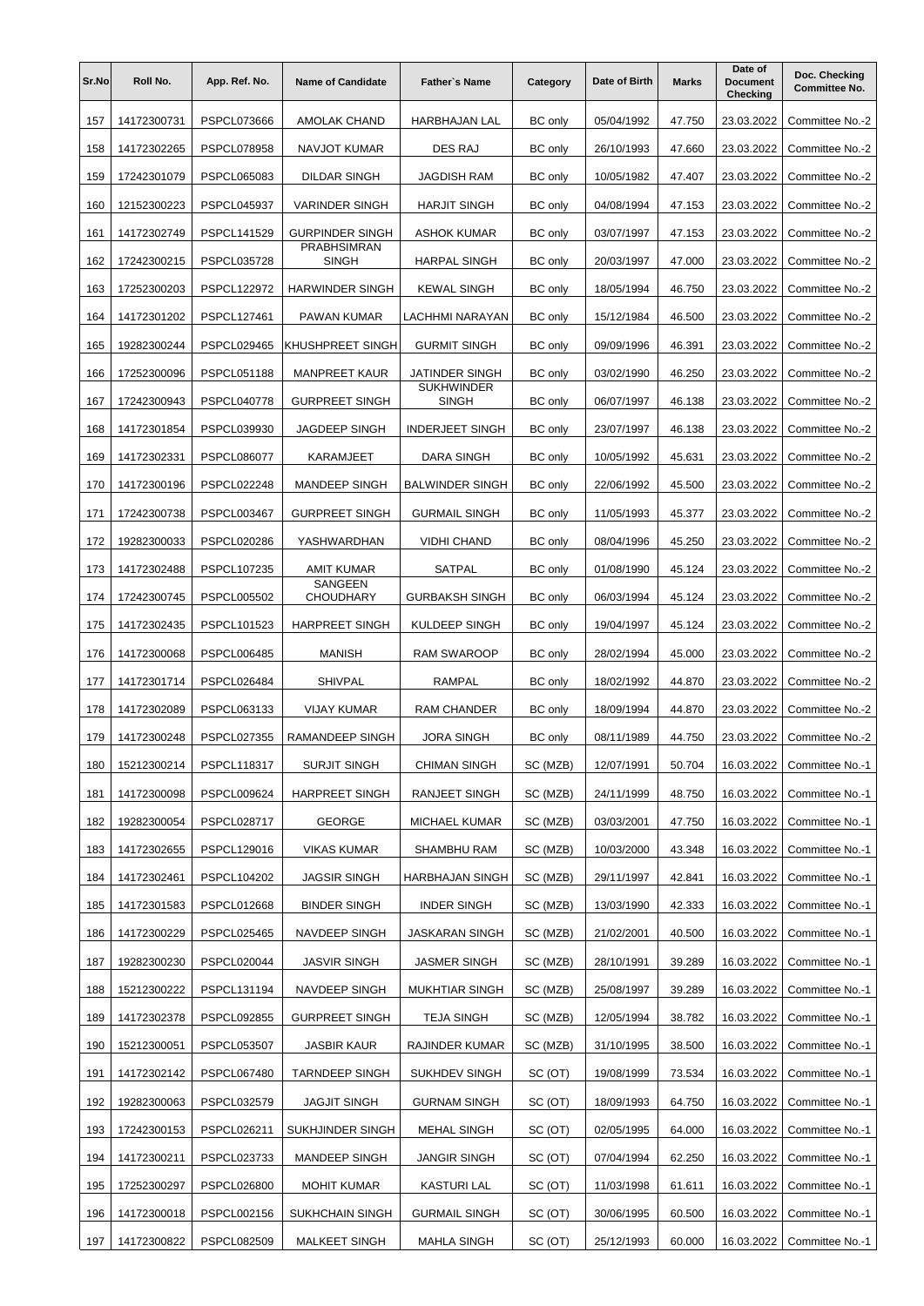| Sr.No | Roll No.    | App. Ref. No.      | <b>Name of Candidate</b>    | <b>Father's Name</b>              | Category       | Date of Birth | <b>Marks</b> | Date of<br><b>Document</b><br><b>Checking</b> | Doc. Checking<br><b>Committee No.</b> |
|-------|-------------|--------------------|-----------------------------|-----------------------------------|----------------|---------------|--------------|-----------------------------------------------|---------------------------------------|
| 157   | 14172300731 | <b>PSPCL073666</b> | <b>AMOLAK CHAND</b>         | <b>HARBHAJAN LAL</b>              | <b>BC</b> only | 05/04/1992    | 47.750       | 23.03.2022                                    | Committee No.-2                       |
| 158   | 14172302265 | <b>PSPCL078958</b> | <b>NAVJOT KUMAR</b>         | DES RAJ                           | <b>BC</b> only | 26/10/1993    | 47.660       | 23.03.2022                                    | Committee No.-2                       |
| 159   | 17242301079 | PSPCL065083        | <b>DILDAR SINGH</b>         | JAGDISH RAM                       | <b>BC</b> only | 10/05/1982    | 47.407       | 23.03.2022                                    | Committee No.-2                       |
| 160   | 12152300223 | <b>PSPCL045937</b> | <b>VARINDER SINGH</b>       | <b>HARJIT SINGH</b>               | <b>BC</b> only | 04/08/1994    | 47.153       | 23.03.2022                                    | Committee No.-2                       |
| 161   | 14172302749 | PSPCL141529        | <b>GURPINDER SINGH</b>      | <b>ASHOK KUMAR</b>                | <b>BC</b> only | 03/07/1997    | 47.153       | 23.03.2022                                    | Committee No.-2                       |
| 162   | 17242300215 | PSPCL035728        | PRABHSIMRAN<br><b>SINGH</b> | <b>HARPAL SINGH</b>               | <b>BC</b> only | 20/03/1997    | 47.000       | 23.03.2022                                    | Committee No.-2                       |
| 163   | 17252300203 | <b>PSPCL122972</b> | <b>HARWINDER SINGH</b>      | <b>KEWAL SINGH</b>                | <b>BC</b> only | 18/05/1994    | 46.750       | 23.03.2022                                    | Committee No.-2                       |
| 164   | 14172301202 | PSPCL127461        | PAWAN KUMAR                 | LACHHMI NARAYAN                   | <b>BC</b> only | 15/12/1984    | 46.500       | 23.03.2022                                    | Committee No.-2                       |
| 165   | 19282300244 | <b>PSPCL029465</b> | KHUSHPREET SINGH            | <b>GURMIT SINGH</b>               | <b>BC</b> only | 09/09/1996    | 46.391       | 23.03.2022                                    | Committee No.-2                       |
| 166   | 17252300096 | <b>PSPCL051188</b> | <b>MANPREET KAUR</b>        | JATINDER SINGH                    | <b>BC</b> only | 03/02/1990    | 46.250       | 23.03.2022                                    | Committee No.-2                       |
| 167   | 17242300943 | <b>PSPCL040778</b> | <b>GURPREET SINGH</b>       | <b>SUKHWINDER</b><br><b>SINGH</b> | <b>BC</b> only | 06/07/1997    | 46.138       | 23.03.2022                                    | Committee No.-2                       |
| 168   | 14172301854 | PSPCL039930        | <b>JAGDEEP SINGH</b>        | <b>INDERJEET SINGH</b>            | <b>BC</b> only | 23/07/1997    | 46.138       | 23.03.2022                                    | Committee No.-2                       |
| 169   | 14172302331 | PSPCL086077        | <b>KARAMJEET</b>            | DARA SINGH                        | <b>BC</b> only | 10/05/1992    | 45.631       | 23.03.2022                                    | Committee No.-2                       |
| 170   | 14172300196 | PSPCL022248        | <b>MANDEEP SINGH</b>        | <b>BALWINDER SINGH</b>            | <b>BC</b> only | 22/06/1992    | 45.500       | 23.03.2022                                    | Committee No.-2                       |
| 171   | 17242300738 | PSPCL003467        | <b>GURPREET SINGH</b>       | <b>GURMAIL SINGH</b>              | <b>BC</b> only | 11/05/1993    | 45.377       | 23.03.2022                                    | Committee No.-2                       |
| 172   | 19282300033 | PSPCL020286        | YASHWARDHAN                 | <b>VIDHI CHAND</b>                | <b>BC</b> only | 08/04/1996    | 45.250       | 23.03.2022                                    | Committee No.-2                       |
| 173   | 14172302488 | PSPCL107235        | <b>AMIT KUMAR</b>           | <b>SATPAL</b>                     | <b>BC</b> only | 01/08/1990    | 45.124       | 23.03.2022                                    | Committee No.-2                       |
| 174   | 17242300745 | PSPCL005502        | SANGEEN<br><b>CHOUDHARY</b> | <b>GURBAKSH SINGH</b>             | BC only        | 06/03/1994    | 45.124       | 23.03.2022                                    | Committee No.-2                       |
| 175   | 14172302435 | PSPCL101523        | <b>HARPREET SINGH</b>       | KULDEEP SINGH                     | <b>BC</b> only | 19/04/1997    | 45.124       | 23.03.2022                                    | Committee No.-2                       |
| 176   | 14172300068 | PSPCL006485        | <b>MANISH</b>               | RAM SWAROOP                       | <b>BC</b> only | 28/02/1994    | 45.000       | 23.03.2022                                    | Committee No.-2                       |
| 177   | 14172301714 | PSPCL026484        | <b>SHIVPAL</b>              | RAMPAL                            | <b>BC</b> only | 18/02/1992    | 44.870       | 23.03.2022                                    | Committee No.-2                       |
| 178   | 14172302089 | PSPCL063133        | <b>VIJAY KUMAR</b>          | <b>RAM CHANDER</b>                | <b>BC</b> only | 18/09/1994    | 44.870       | 23.03.2022                                    | Committee No.-2                       |
| 179   | 14172300248 | <b>PSPCL027355</b> | RAMANDEEP SINGH             | <b>JORA SINGH</b>                 | <b>BC</b> only | 08/11/1989    | 44.750       | 23.03.2022                                    | Committee No.-2                       |
| 180   | 15212300214 | PSPCL118317        | <b>SURJIT SINGH</b>         | <b>CHIMAN SINGH</b>               | SC (MZB)       | 12/07/1991    | 50.704       | 16.03.2022                                    | Committee No.-1                       |
| 181   | 14172300098 | PSPCL009624        | <b>HARPREET SINGH</b>       | RANJEET SINGH                     | SC (MZB)       | 24/11/1999    | 48.750       | 16.03.2022                                    | Committee No.-1                       |
| 182   | 19282300054 | PSPCL028717        | <b>GEORGE</b>               | MICHAEL KUMAR                     | SC (MZB)       | 03/03/2001    | 47.750       | 16.03.2022                                    | Committee No.-1                       |
| 183   | 14172302655 | PSPCL129016        | <b>VIKAS KUMAR</b>          | SHAMBHU RAM                       | SC (MZB)       | 10/03/2000    | 43.348       | 16.03.2022                                    | Committee No.-1                       |
| 184   | 14172302461 | PSPCL104202        | <b>JAGSIR SINGH</b>         | HARBHAJAN SINGH                   | SC (MZB)       | 29/11/1997    | 42.841       | 16.03.2022                                    | Committee No.-1                       |
| 185   | 14172301583 | PSPCL012668        | <b>BINDER SINGH</b>         | <b>INDER SINGH</b>                | SC (MZB)       | 13/03/1990    | 42.333       | 16.03.2022                                    | Committee No.-1                       |
| 186   | 14172300229 | PSPCL025465        | NAVDEEP SINGH               | JASKARAN SINGH                    | SC (MZB)       | 21/02/2001    | 40.500       | 16.03.2022                                    | Committee No.-1                       |
| 187   | 19282300230 | PSPCL020044        | <b>JASVIR SINGH</b>         | <b>JASMER SINGH</b>               | SC (MZB)       | 28/10/1991    | 39.289       | 16.03.2022                                    | Committee No.-1                       |
| 188   | 15212300222 | PSPCL131194        | NAVDEEP SINGH               | MUKHTIAR SINGH                    | SC (MZB)       | 25/08/1997    | 39.289       | 16.03.2022                                    | Committee No.-1                       |
| 189   | 14172302378 | PSPCL092855        | <b>GURPREET SINGH</b>       | TEJA SINGH                        | SC (MZB)       | 12/05/1994    | 38.782       | 16.03.2022                                    | Committee No.-1                       |
| 190   | 15212300051 | PSPCL053507        | JASBIR KAUR                 | RAJINDER KUMAR                    | SC (MZB)       | 31/10/1995    | 38.500       | 16.03.2022                                    | Committee No.-1                       |
| 191   | 14172302142 | PSPCL067480        | <b>TARNDEEP SINGH</b>       | SUKHDEV SINGH                     | SC (OT)        | 19/08/1999    | 73.534       | 16.03.2022                                    | Committee No.-1                       |
| 192   | 19282300063 | PSPCL032579        | JAGJIT SINGH                | <b>GURNAM SINGH</b>               | SC (OT)        | 18/09/1993    | 64.750       | 16.03.2022                                    | Committee No.-1                       |
| 193   | 17242300153 | PSPCL026211        | SUKHJINDER SINGH            | MEHAL SINGH                       | SC (OT)        | 02/05/1995    | 64.000       | 16.03.2022                                    | Committee No.-1                       |
| 194   | 14172300211 | PSPCL023733        | MANDEEP SINGH               | <b>JANGIR SINGH</b>               | SC (OT)        | 07/04/1994    | 62.250       | 16.03.2022                                    | Committee No.-1                       |
| 195   | 17252300297 | PSPCL026800        | <b>MOHIT KUMAR</b>          | KASTURI LAL                       | SC (OT)        | 11/03/1998    | 61.611       | 16.03.2022                                    | Committee No.-1                       |
| 196   | 14172300018 | PSPCL002156        | SUKHCHAIN SINGH             | <b>GURMAIL SINGH</b>              | SC (OT)        | 30/06/1995    | 60.500       | 16.03.2022                                    | Committee No.-1                       |
| 197   | 14172300822 | PSPCL082509        | MALKEET SINGH               | <b>MAHLA SINGH</b>                | SC (OT)        | 25/12/1993    | 60.000       | 16.03.2022                                    | Committee No.-1                       |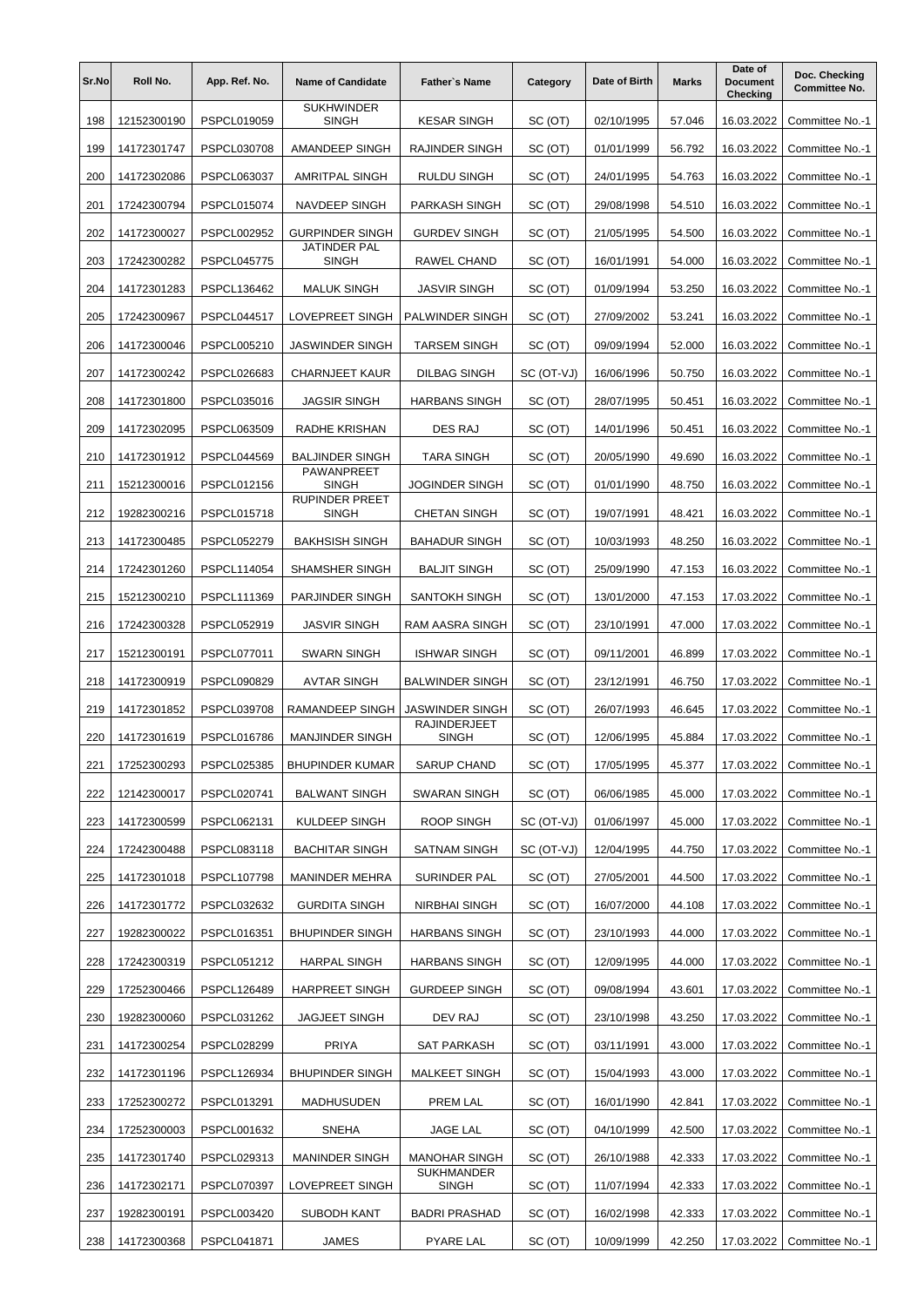| Sr.No | Roll No.    | App. Ref. No.      | <b>Name of Candidate</b>              | <b>Father's Name</b>                | Category   | Date of Birth | <b>Marks</b> | Date of<br><b>Document</b><br>Checking | Doc. Checking<br><b>Committee No.</b> |
|-------|-------------|--------------------|---------------------------------------|-------------------------------------|------------|---------------|--------------|----------------------------------------|---------------------------------------|
| 198   | 12152300190 | PSPCL019059        | <b>SUKHWINDER</b><br><b>SINGH</b>     | <b>KESAR SINGH</b>                  | SC (OT)    | 02/10/1995    | 57.046       | 16.03.2022                             | Committee No.-1                       |
| 199   | 14172301747 | <b>PSPCL030708</b> | AMANDEEP SINGH                        | <b>RAJINDER SINGH</b>               | SC (OT)    | 01/01/1999    | 56.792       | 16.03.2022                             | Committee No.-1                       |
| 200   | 14172302086 | PSPCL063037        | <b>AMRITPAL SINGH</b>                 | <b>RULDU SINGH</b>                  | SC (OT)    | 24/01/1995    | 54.763       | 16.03.2022                             | Committee No.-1                       |
| 201   | 17242300794 | <b>PSPCL015074</b> | <b>NAVDEEP SINGH</b>                  | PARKASH SINGH                       | SC (OT)    | 29/08/1998    | 54.510       | 16.03.2022                             | Committee No.-1                       |
| 202   | 14172300027 | <b>PSPCL002952</b> | <b>GURPINDER SINGH</b>                | <b>GURDEV SINGH</b>                 | SC (OT)    | 21/05/1995    | 54.500       | 16.03.2022                             | Committee No.-1                       |
| 203   | 17242300282 | PSPCL045775        | JATINDER PAL<br><b>SINGH</b>          | RAWEL CHAND                         | SC (OT)    | 16/01/1991    | 54.000       | 16.03.2022                             | Committee No.-1                       |
| 204   | 14172301283 | PSPCL136462        | <b>MALUK SINGH</b>                    | <b>JASVIR SINGH</b>                 | SC (OT)    | 01/09/1994    | 53.250       | 16.03.2022                             | Committee No.-1                       |
| 205   | 17242300967 | PSPCL044517        | LOVEPREET SINGH                       | PALWINDER SINGH                     | SC (OT)    | 27/09/2002    | 53.241       | 16.03.2022                             | Committee No.-1                       |
| 206   | 14172300046 | PSPCL005210        | <b>JASWINDER SINGH</b>                | <b>TARSEM SINGH</b>                 | SC (OT)    | 09/09/1994    | 52.000       | 16.03.2022                             | Committee No.-1                       |
| 207   | 14172300242 | PSPCL026683        | <b>CHARNJEET KAUR</b>                 | <b>DILBAG SINGH</b>                 | SC (OT-VJ) | 16/06/1996    | 50.750       | 16.03.2022                             | Committee No.-1                       |
| 208   | 14172301800 | PSPCL035016        | <b>JAGSIR SINGH</b>                   | <b>HARBANS SINGH</b>                | SC (OT)    | 28/07/1995    | 50.451       | 16.03.2022                             | Committee No.-1                       |
| 209   | 14172302095 | PSPCL063509        | RADHE KRISHAN                         | DES RAJ                             | SC (OT)    | 14/01/1996    | 50.451       | 16.03.2022                             | Committee No.-1                       |
| 210   | 14172301912 | PSPCL044569        | <b>BALJINDER SINGH</b>                | <b>TARA SINGH</b>                   | SC (OT)    | 20/05/1990    | 49.690       | 16.03.2022                             | Committee No.-1                       |
| 211   | 15212300016 | PSPCL012156        | PAWANPREET<br><b>SINGH</b>            | <b>JOGINDER SINGH</b>               | SC (OT)    | 01/01/1990    | 48.750       | 16.03.2022                             | Committee No.-1                       |
| 212   | 19282300216 | PSPCL015718        | <b>RUPINDER PREET</b><br><b>SINGH</b> | <b>CHETAN SINGH</b>                 | SC (OT)    | 19/07/1991    | 48.421       | 16.03.2022                             | Committee No.-1                       |
| 213   | 14172300485 | <b>PSPCL052279</b> | <b>BAKHSISH SINGH</b>                 | <b>BAHADUR SINGH</b>                | SC (OT)    | 10/03/1993    | 48.250       | 16.03.2022                             | Committee No.-1                       |
| 214   | 17242301260 | <b>PSPCL114054</b> | SHAMSHER SINGH                        | <b>BALJIT SINGH</b>                 | SC (OT)    | 25/09/1990    | 47.153       | 16.03.2022                             | Committee No.-1                       |
| 215   | 15212300210 | PSPCL111369        | PARJINDER SINGH                       | SANTOKH SINGH                       | SC (OT)    | 13/01/2000    | 47.153       | 17.03.2022                             | Committee No.-1                       |
| 216   | 17242300328 | PSPCL052919        | <b>JASVIR SINGH</b>                   | RAM AASRA SINGH                     | SC (OT)    | 23/10/1991    | 47.000       | 17.03.2022                             | Committee No.-1                       |
| 217   | 15212300191 | PSPCL077011        | <b>SWARN SINGH</b>                    | <b>ISHWAR SINGH</b>                 | SC (OT)    | 09/11/2001    | 46.899       | 17.03.2022                             | Committee No.-1                       |
| 218   | 14172300919 | <b>PSPCL090829</b> | <b>AVTAR SINGH</b>                    | <b>BALWINDER SINGH</b>              | SC (OT)    | 23/12/1991    | 46.750       | 17.03.2022                             | Committee No.-1                       |
| 219   | 14172301852 | PSPCL039708        | RAMANDEEP SINGH                       | <b>JASWINDER SINGH</b>              | SC (OT)    | 26/07/1993    | 46.645       | 17.03.2022                             | Committee No.-1                       |
| 220   | 14172301619 | <b>PSPCL016786</b> | <b>MANJINDER SINGH</b>                | <b>RAJINDERJEET</b><br><b>SINGH</b> | SC (OT)    | 12/06/1995    | 45.884       | 17.03.2022                             | Committee No.-1                       |
| 221   | 17252300293 | PSPCL025385        | <b>BHUPINDER KUMAR</b>                | <b>SARUP CHAND</b>                  | SC (OT)    | 17/05/1995    | 45.377       | 17.03.2022                             | Committee No.-1                       |
| 222   | 12142300017 | PSPCL020741        | <b>BALWANT SINGH</b>                  | SWARAN SINGH                        | SC (OT)    | 06/06/1985    | 45.000       | 17.03.2022                             | Committee No.-1                       |
| 223   | 14172300599 | PSPCL062131        | KULDEEP SINGH                         | ROOP SINGH                          | SC (OT-VJ) | 01/06/1997    | 45.000       | 17.03.2022                             | Committee No.-1                       |
| 224   | 17242300488 | PSPCL083118        | <b>BACHITAR SINGH</b>                 | SATNAM SINGH                        | SC (OT-VJ) | 12/04/1995    | 44.750       | 17.03.2022                             | Committee No.-1                       |
| 225   | 14172301018 | PSPCL107798        | MANINDER MEHRA                        | SURINDER PAL                        | SC (OT)    | 27/05/2001    | 44.500       | 17.03.2022                             | Committee No.-1                       |
| 226   | 14172301772 | PSPCL032632        | <b>GURDITA SINGH</b>                  | NIRBHAI SINGH                       | SC (OT)    | 16/07/2000    | 44.108       | 17.03.2022                             | Committee No.-1                       |
| 227   | 19282300022 | PSPCL016351        | <b>BHUPINDER SINGH</b>                | <b>HARBANS SINGH</b>                | SC (OT)    | 23/10/1993    | 44.000       | 17.03.2022                             | Committee No.-1                       |
| 228   | 17242300319 | PSPCL051212        | <b>HARPAL SINGH</b>                   | <b>HARBANS SINGH</b>                | SC (OT)    | 12/09/1995    | 44.000       | 17.03.2022                             | Committee No.-1                       |
| 229   | 17252300466 | PSPCL126489        | <b>HARPREET SINGH</b>                 | <b>GURDEEP SINGH</b>                | SC (OT)    | 09/08/1994    | 43.601       | 17.03.2022                             | Committee No.-1                       |
| 230   | 19282300060 | PSPCL031262        | <b>JAGJEET SINGH</b>                  | DEV RAJ                             | SC (OT)    | 23/10/1998    | 43.250       | 17.03.2022                             | Committee No.-1                       |
| 231   | 14172300254 | PSPCL028299        | PRIYA                                 | SAT PARKASH                         | SC (OT)    | 03/11/1991    | 43.000       | 17.03.2022                             | Committee No.-1                       |
| 232   | 14172301196 | PSPCL126934        | <b>BHUPINDER SINGH</b>                | MALKEET SINGH                       | SC (OT)    | 15/04/1993    | 43.000       | 17.03.2022                             | Committee No.-1                       |
| 233   | 17252300272 | PSPCL013291        | MADHUSUDEN                            | PREM LAL                            | SC (OT)    | 16/01/1990    | 42.841       | 17.03.2022                             | Committee No.-1                       |
| 234   | 17252300003 | PSPCL001632        | SNEHA                                 | JAGE LAL                            | SC (OT)    | 04/10/1999    | 42.500       | 17.03.2022                             | Committee No.-1                       |
| 235   | 14172301740 | PSPCL029313        | <b>MANINDER SINGH</b>                 | <b>MANOHAR SINGH</b>                | SC (OT)    | 26/10/1988    | 42.333       | 17.03.2022                             | Committee No.-1                       |
| 236   | 14172302171 | PSPCL070397        | LOVEPREET SINGH                       | <b>SUKHMANDER</b><br>SINGH          | SC (OT)    | 11/07/1994    | 42.333       | 17.03.2022                             | Committee No.-1                       |
| 237   | 19282300191 | PSPCL003420        | SUBODH KANT                           | <b>BADRI PRASHAD</b>                | SC (OT)    | 16/02/1998    | 42.333       | 17.03.2022                             | Committee No.-1                       |
| 238   | 14172300368 | PSPCL041871        | JAMES                                 | PYARE LAL                           | SC (OT)    | 10/09/1999    | 42.250       | 17.03.2022                             | Committee No.-1                       |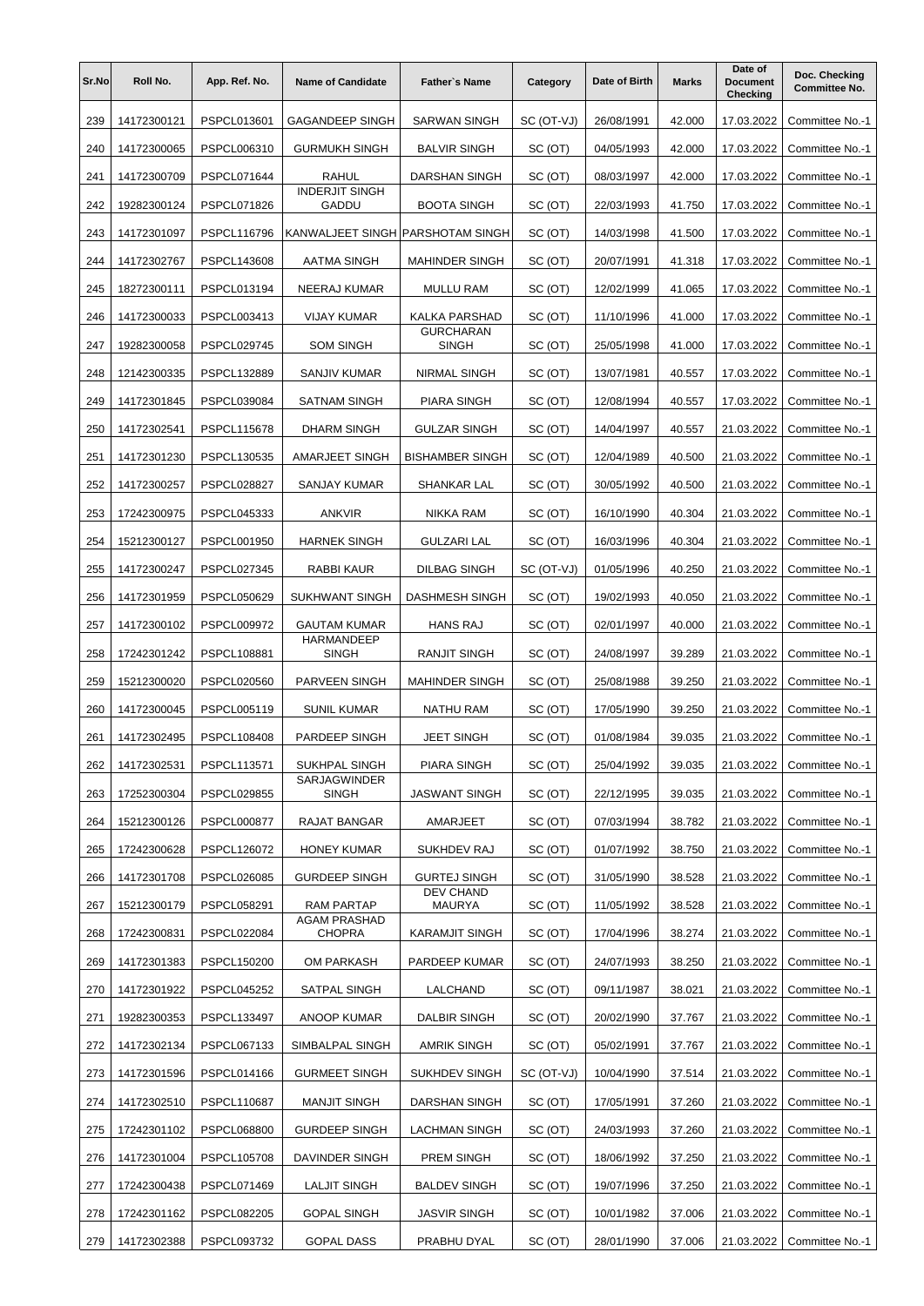| Sr.No | Roll No.    | App. Ref. No.      | <b>Name of Candidate</b>              | <b>Father's Name</b>             | Category   | Date of Birth | <b>Marks</b> | Date of<br><b>Document</b><br>Checking | Doc. Checking<br><b>Committee No.</b> |
|-------|-------------|--------------------|---------------------------------------|----------------------------------|------------|---------------|--------------|----------------------------------------|---------------------------------------|
| 239   | 14172300121 | PSPCL013601        | <b>GAGANDEEP SINGH</b>                | <b>SARWAN SINGH</b>              | SC (OT-VJ) | 26/08/1991    | 42.000       | 17.03.2022                             | Committee No.-1                       |
| 240   | 14172300065 | PSPCL006310        | <b>GURMUKH SINGH</b>                  | <b>BALVIR SINGH</b>              | SC (OT)    | 04/05/1993    | 42.000       | 17.03.2022                             | Committee No.-1                       |
| 241   | 14172300709 | <b>PSPCL071644</b> | <b>RAHUL</b>                          | <b>DARSHAN SINGH</b>             | SC (OT)    | 08/03/1997    | 42.000       | 17.03.2022                             | Committee No.-1                       |
| 242   | 19282300124 | <b>PSPCL071826</b> | <b>INDERJIT SINGH</b><br><b>GADDU</b> | <b>BOOTA SINGH</b>               | SC (OT)    | 22/03/1993    | 41.750       | 17.03.2022                             | Committee No.-1                       |
| 243   | 14172301097 | <b>PSPCL116796</b> | KANWALJEET SINGH PARSHOTAM SINGH      |                                  | SC (OT)    | 14/03/1998    | 41.500       | 17.03.2022                             | Committee No.-1                       |
| 244   | 14172302767 | PSPCL143608        | AATMA SINGH                           | <b>MAHINDER SINGH</b>            | SC (OT)    | 20/07/1991    | 41.318       | 17.03.2022                             | Committee No.-1                       |
| 245   | 18272300111 | PSPCL013194        | <b>NEERAJ KUMAR</b>                   | <b>MULLU RAM</b>                 | SC (OT)    | 12/02/1999    | 41.065       | 17.03.2022                             | Committee No.-1                       |
| 246   | 14172300033 | PSPCL003413        | VIJAY KUMAR                           | <b>KALKA PARSHAD</b>             | SC (OT)    | 11/10/1996    | 41.000       | 17.03.2022                             | Committee No.-1                       |
| 247   | 19282300058 | <b>PSPCL029745</b> | <b>SOM SINGH</b>                      | <b>GURCHARAN</b><br><b>SINGH</b> | SC (OT)    | 25/05/1998    | 41.000       | 17.03.2022                             | Committee No.-1                       |
| 248   | 12142300335 | PSPCL132889        | SANJIV KUMAR                          | <b>NIRMAL SINGH</b>              | SC (OT)    | 13/07/1981    | 40.557       | 17.03.2022                             | Committee No.-1                       |
| 249   | 14172301845 | PSPCL039084        | <b>SATNAM SINGH</b>                   | <b>PIARA SINGH</b>               | SC (OT)    | 12/08/1994    | 40.557       | 17.03.2022                             | Committee No.-1                       |
| 250   | 14172302541 | PSPCL115678        | <b>DHARM SINGH</b>                    | <b>GULZAR SINGH</b>              | SC (OT)    | 14/04/1997    | 40.557       | 21.03.2022                             | Committee No.-1                       |
| 251   | 14172301230 | PSPCL130535        | AMARJEET SINGH                        | <b>BISHAMBER SINGH</b>           | SC (OT)    | 12/04/1989    | 40.500       | 21.03.2022                             | Committee No.-1                       |
| 252   | 14172300257 | <b>PSPCL028827</b> | SANJAY KUMAR                          | SHANKAR LAL                      | SC (OT)    | 30/05/1992    | 40.500       | 21.03.2022                             | Committee No.-1                       |
| 253   | 17242300975 | PSPCL045333        | ANKVIR                                | NIKKA RAM                        | SC (OT)    | 16/10/1990    | 40.304       | 21.03.2022                             | Committee No.-1                       |
| 254   | 15212300127 | PSPCL001950        | <b>HARNEK SINGH</b>                   | <b>GULZARI LAL</b>               | SC (OT)    | 16/03/1996    | 40.304       | 21.03.2022                             | Committee No.-1                       |
| 255   | 14172300247 | <b>PSPCL027345</b> | RABBI KAUR                            | <b>DILBAG SINGH</b>              | SC (OT-VJ) | 01/05/1996    | 40.250       | 21.03.2022                             | Committee No.-1                       |
| 256   | 14172301959 | <b>PSPCL050629</b> | SUKHWANT SINGH                        | <b>DASHMESH SINGH</b>            | SC (OT)    | 19/02/1993    | 40.050       | 21.03.2022                             | Committee No.-1                       |
| 257   | 14172300102 | PSPCL009972        | <b>GAUTAM KUMAR</b>                   | <b>HANS RAJ</b>                  | SC (OT)    | 02/01/1997    | 40.000       | 21.03.2022                             | Committee No.-1                       |
| 258   | 17242301242 | PSPCL108881        | <b>HARMANDEEP</b><br><b>SINGH</b>     | <b>RANJIT SINGH</b>              | SC (OT)    | 24/08/1997    | 39.289       | 21.03.2022                             | Committee No.-1                       |
| 259   | 15212300020 | <b>PSPCL020560</b> | <b>PARVEEN SINGH</b>                  | <b>MAHINDER SINGH</b>            | SC (OT)    | 25/08/1988    | 39.250       | 21.03.2022                             | Committee No.-1                       |
| 260   | 14172300045 | PSPCL005119        | <b>SUNIL KUMAR</b>                    | <b>NATHU RAM</b>                 | SC (OT)    | 17/05/1990    | 39.250       | 21.03.2022                             | Committee No.-1                       |
| 261   | 14172302495 | <b>PSPCL108408</b> | PARDEEP SINGH                         | <b>JEET SINGH</b>                | SC (OT)    | 01/08/1984    | 39.035       | 21.03.2022                             | Committee No.-1                       |
| 262   | 14172302531 | PSPCL113571        | SUKHPAL SINGH                         | PIARA SINGH                      | SC (OT)    | 25/04/1992    | 39.035       | 21.03.2022                             | Committee No.-1                       |
| 263   | 17252300304 | PSPCL029855        | SARJAGWINDER<br><b>SINGH</b>          | <b>JASWANT SINGH</b>             | SC (OT)    | 22/12/1995    | 39.035       | 21.03.2022                             | Committee No.-1                       |
| 264   | 15212300126 | <b>PSPCL000877</b> | RAJAT BANGAR                          | AMARJEET                         | SC (OT)    | 07/03/1994    | 38.782       | 21.03.2022                             | Committee No.-1                       |
| 265   | 17242300628 | PSPCL126072        | <b>HONEY KUMAR</b>                    | SUKHDEV RAJ                      | SC (OT)    | 01/07/1992    | 38.750       | 21.03.2022                             | Committee No.-1                       |
| 266   | 14172301708 | PSPCL026085        | <b>GURDEEP SINGH</b>                  | <b>GURTEJ SINGH</b>              | SC (OT)    | 31/05/1990    | 38.528       | 21.03.2022                             | Committee No.-1                       |
| 267   | 15212300179 | PSPCL058291        | RAM PARTAP                            | DEV CHAND<br>MAURYA              | SC (OT)    | 11/05/1992    | 38.528       | 21.03.2022                             | Committee No.-1                       |
| 268   | 17242300831 | PSPCL022084        | <b>AGAM PRASHAD</b><br>CHOPRA         | <b>KARAMJIT SINGH</b>            | SC (OT)    | 17/04/1996    | 38.274       | 21.03.2022                             | Committee No.-1                       |
| 269   | 14172301383 | PSPCL150200        | OM PARKASH                            | PARDEEP KUMAR                    | SC (OT)    | 24/07/1993    | 38.250       | 21.03.2022                             | Committee No.-1                       |
| 270   | 14172301922 | <b>PSPCL045252</b> | SATPAL SINGH                          | LALCHAND                         | SC (OT)    | 09/11/1987    | 38.021       | 21.03.2022                             | Committee No.-1                       |
| 271   | 19282300353 | PSPCL133497        | ANOOP KUMAR                           | DALBIR SINGH                     | SC (OT)    | 20/02/1990    | 37.767       | 21.03.2022                             | Committee No.-1                       |
| 272   | 14172302134 | PSPCL067133        | SIMBALPAL SINGH                       | <b>AMRIK SINGH</b>               | SC (OT)    | 05/02/1991    | 37.767       | 21.03.2022                             | Committee No.-1                       |
| 273   | 14172301596 | PSPCL014166        | <b>GURMEET SINGH</b>                  | <b>SUKHDEV SINGH</b>             | SC (OT-VJ) | 10/04/1990    | 37.514       | 21.03.2022                             | Committee No.-1                       |
| 274   | 14172302510 | PSPCL110687        | <b>MANJIT SINGH</b>                   | DARSHAN SINGH                    | SC (OT)    | 17/05/1991    | 37.260       | 21.03.2022                             | Committee No.-1                       |
| 275   | 17242301102 | PSPCL068800        | <b>GURDEEP SINGH</b>                  | LACHMAN SINGH                    | SC (OT)    | 24/03/1993    | 37.260       | 21.03.2022                             | Committee No.-1                       |
| 276   | 14172301004 | PSPCL105708        | DAVINDER SINGH                        | PREM SINGH                       | SC (OT)    | 18/06/1992    | 37.250       | 21.03.2022                             | Committee No.-1                       |
| 277   | 17242300438 | PSPCL071469        | <b>LALJIT SINGH</b>                   | <b>BALDEV SINGH</b>              | SC (OT)    | 19/07/1996    | 37.250       | 21.03.2022                             | Committee No.-1                       |
| 278   | 17242301162 | <b>PSPCL082205</b> | <b>GOPAL SINGH</b>                    | <b>JASVIR SINGH</b>              | SC (OT)    | 10/01/1982    | 37.006       | 21.03.2022                             | Committee No.-1                       |
| 279   | 14172302388 | PSPCL093732        | <b>GOPAL DASS</b>                     | PRABHU DYAL                      | SC (OT)    | 28/01/1990    | 37.006       | 21.03.2022                             | Committee No.-1                       |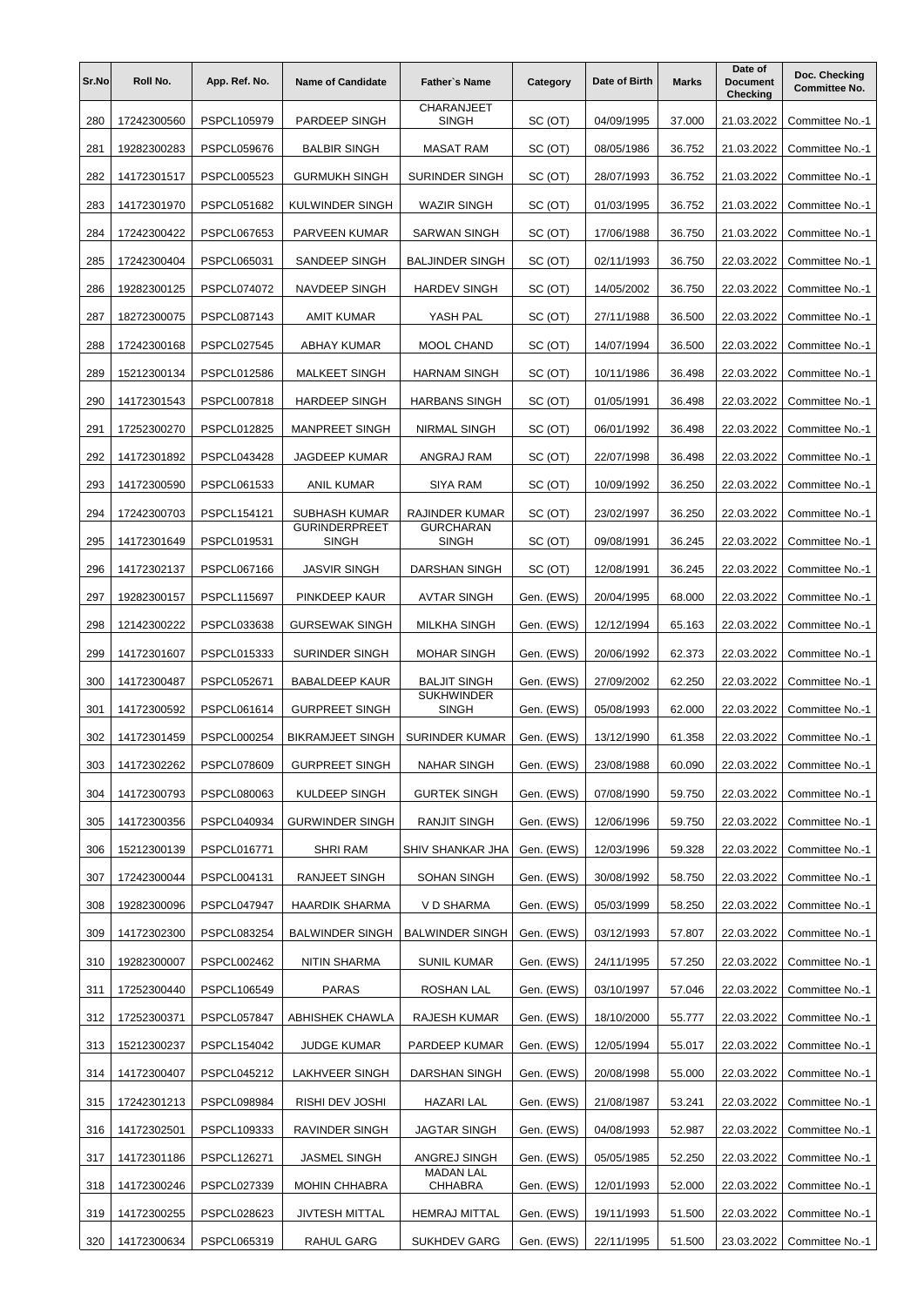| Sr.No | Roll No.    | App. Ref. No.      | <b>Name of Candidate</b>             | <b>Father's Name</b>              | Category   | Date of Birth | <b>Marks</b> | Date of<br><b>Document</b><br>Checking | Doc. Checking<br><b>Committee No.</b> |
|-------|-------------|--------------------|--------------------------------------|-----------------------------------|------------|---------------|--------------|----------------------------------------|---------------------------------------|
| 280   | 17242300560 | PSPCL105979        | PARDEEP SINGH                        | CHARANJEET<br><b>SINGH</b>        | SC (OT)    | 04/09/1995    | 37.000       | 21.03.2022                             | Committee No.-1                       |
| 281   | 19282300283 | PSPCL059676        | <b>BALBIR SINGH</b>                  | <b>MASAT RAM</b>                  | SC (OT)    | 08/05/1986    | 36.752       | 21.03.2022                             | Committee No.-1                       |
| 282   | 14172301517 | PSPCL005523        | <b>GURMUKH SINGH</b>                 | SURINDER SINGH                    | SC (OT)    | 28/07/1993    | 36.752       | 21.03.2022                             | Committee No.-1                       |
| 283   | 14172301970 | <b>PSPCL051682</b> | KULWINDER SINGH                      | <b>WAZIR SINGH</b>                | SC (OT)    | 01/03/1995    | 36.752       | 21.03.2022                             | Committee No.-1                       |
| 284   | 17242300422 | PSPCL067653        | PARVEEN KUMAR                        | SARWAN SINGH                      | SC (OT)    | 17/06/1988    | 36.750       | 21.03.2022                             | Committee No.-1                       |
| 285   | 17242300404 | PSPCL065031        | SANDEEP SINGH                        | <b>BALJINDER SINGH</b>            | SC (OT)    | 02/11/1993    | 36.750       | 22.03.2022                             | Committee No.-1                       |
| 286   | 19282300125 | PSPCL074072        | NAVDEEP SINGH                        | <b>HARDEV SINGH</b>               | SC (OT)    | 14/05/2002    | 36.750       | 22.03.2022                             | Committee No.-1                       |
| 287   | 18272300075 | PSPCL087143        | <b>AMIT KUMAR</b>                    | YASH PAL                          | SC (OT)    | 27/11/1988    | 36.500       | 22.03.2022                             | Committee No.-1                       |
| 288   | 17242300168 | PSPCL027545        | ABHAY KUMAR                          | MOOL CHAND                        | SC (OT)    | 14/07/1994    | 36.500       | 22.03.2022                             | Committee No.-1                       |
| 289   | 15212300134 | PSPCL012586        | <b>MALKEET SINGH</b>                 | <b>HARNAM SINGH</b>               | SC (OT)    | 10/11/1986    | 36.498       | 22.03.2022                             | Committee No.-1                       |
| 290   | 14172301543 | PSPCL007818        | <b>HARDEEP SINGH</b>                 | <b>HARBANS SINGH</b>              | SC (OT)    | 01/05/1991    | 36.498       | 22.03.2022                             | Committee No.-1                       |
| 291   | 17252300270 | <b>PSPCL012825</b> | <b>MANPREET SINGH</b>                | NIRMAL SINGH                      | SC (OT)    | 06/01/1992    | 36.498       | 22.03.2022                             | Committee No.-1                       |
| 292   | 14172301892 | PSPCL043428        | <b>JAGDEEP KUMAR</b>                 | ANGRAJ RAM                        | SC (OT)    | 22/07/1998    | 36.498       | 22.03.2022                             | Committee No.-1                       |
| 293   | 14172300590 | PSPCL061533        | <b>ANIL KUMAR</b>                    | <b>SIYA RAM</b>                   | SC (OT)    | 10/09/1992    | 36.250       | 22.03.2022                             | Committee No.-1                       |
| 294   | 17242300703 | PSPCL154121        | <b>SUBHASH KUMAR</b>                 | RAJINDER KUMAR                    | SC (OT)    | 23/02/1997    | 36.250       | 22.03.2022                             | Committee No.-1                       |
| 295   | 14172301649 | PSPCL019531        | <b>GURINDERPREET</b><br><b>SINGH</b> | <b>GURCHARAN</b><br><b>SINGH</b>  | SC (OT)    | 09/08/1991    | 36.245       | 22.03.2022                             | Committee No.-1                       |
| 296   | 14172302137 | PSPCL067166        | <b>JASVIR SINGH</b>                  | DARSHAN SINGH                     | SC (OT)    | 12/08/1991    | 36.245       | 22.03.2022                             | Committee No.-1                       |
| 297   | 19282300157 | <b>PSPCL115697</b> | PINKDEEP KAUR                        | <b>AVTAR SINGH</b>                | Gen. (EWS) | 20/04/1995    | 68.000       | 22.03.2022                             | Committee No.-1                       |
| 298   | 12142300222 | PSPCL033638        | <b>GURSEWAK SINGH</b>                | <b>MILKHA SINGH</b>               | Gen. (EWS) | 12/12/1994    | 65.163       | 22.03.2022                             | Committee No.-1                       |
| 299   | 14172301607 | PSPCL015333        | SURINDER SINGH                       | <b>MOHAR SINGH</b>                | Gen. (EWS) | 20/06/1992    | 62.373       | 22.03.2022                             | Committee No.-1                       |
| 300   | 14172300487 | PSPCL052671        | <b>BABALDEEP KAUR</b>                | <b>BALJIT SINGH</b>               | Gen. (EWS) | 27/09/2002    | 62.250       | 22.03.2022                             | Committee No.-1                       |
| 301   | 14172300592 | PSPCL061614        | <b>GURPREET SINGH</b>                | <b>SUKHWINDER</b><br><b>SINGH</b> | Gen. (EWS) | 05/08/1993    | 62.000       | 22.03.2022                             | Committee No.-1                       |
| 302   | 14172301459 | PSPCL000254        | <b>BIKRAMJEET SINGH</b>              | <b>SURINDER KUMAR</b>             | Gen. (EWS) | 13/12/1990    | 61.358       | 22.03.2022                             | Committee No.-1                       |
| 303   | 14172302262 | PSPCL078609        | <b>GURPREET SINGH</b>                | <b>NAHAR SINGH</b>                | Gen. (EWS) | 23/08/1988    | 60.090       | 22.03.2022                             | Committee No.-1                       |
| 304   | 14172300793 | PSPCL080063        | KULDEEP SINGH                        | <b>GURTEK SINGH</b>               | Gen. (EWS) | 07/08/1990    | 59.750       | 22.03.2022                             | Committee No.-1                       |
| 305   | 14172300356 | PSPCL040934        | <b>GURWINDER SINGH</b>               | RANJIT SINGH                      | Gen. (EWS) | 12/06/1996    | 59.750       | 22.03.2022                             | Committee No.-1                       |
| 306   | 15212300139 | PSPCL016771        | <b>SHRI RAM</b>                      | SHIV SHANKAR JHA                  | Gen. (EWS) | 12/03/1996    | 59.328       | 22.03.2022                             | Committee No.-1                       |
| 307   | 17242300044 | PSPCL004131        | RANJEET SINGH                        | SOHAN SINGH                       | Gen. (EWS) | 30/08/1992    | 58.750       | 22.03.2022                             | Committee No.-1                       |
| 308   | 19282300096 | <b>PSPCL047947</b> | HAARDIK SHARMA                       | V D SHARMA                        | Gen. (EWS) | 05/03/1999    | 58.250       | 22.03.2022                             | Committee No.-1                       |
| 309   | 14172302300 | PSPCL083254        | <b>BALWINDER SINGH</b>               | <b>BALWINDER SINGH</b>            | Gen. (EWS) | 03/12/1993    | 57.807       | 22.03.2022                             | Committee No.-1                       |
| 310   | 19282300007 | PSPCL002462        | NITIN SHARMA                         | SUNIL KUMAR                       | Gen. (EWS) | 24/11/1995    | 57.250       | 22.03.2022                             | Committee No.-1                       |
| 311   | 17252300440 | PSPCL106549        | PARAS                                | ROSHAN LAL                        | Gen. (EWS) | 03/10/1997    | 57.046       | 22.03.2022                             | Committee No.-1                       |
| 312   | 17252300371 | PSPCL057847        | <b>ABHISHEK CHAWLA</b>               | RAJESH KUMAR                      | Gen. (EWS) | 18/10/2000    | 55.777       | 22.03.2022                             | Committee No.-1                       |
| 313   | 15212300237 | PSPCL154042        | JUDGE KUMAR                          | PARDEEP KUMAR                     | Gen. (EWS) | 12/05/1994    | 55.017       | 22.03.2022                             | Committee No.-1                       |
| 314   | 14172300407 | PSPCL045212        | LAKHVEER SINGH                       | DARSHAN SINGH                     | Gen. (EWS) | 20/08/1998    | 55.000       | 22.03.2022                             | Committee No.-1                       |
| 315   | 17242301213 | PSPCL098984        | RISHI DEV JOSHI                      | HAZARI LAL                        | Gen. (EWS) | 21/08/1987    | 53.241       | 22.03.2022                             | Committee No.-1                       |
| 316   | 14172302501 | PSPCL109333        | RAVINDER SINGH                       | <b>JAGTAR SINGH</b>               | Gen. (EWS) | 04/08/1993    | 52.987       | 22.03.2022                             | Committee No.-1                       |
| 317   | 14172301186 | PSPCL126271        | JASMEL SINGH                         | ANGREJ SINGH                      | Gen. (EWS) | 05/05/1985    | 52.250       | 22.03.2022                             | Committee No.-1                       |
| 318   | 14172300246 | PSPCL027339        | <b>MOHIN CHHABRA</b>                 | <b>MADAN LAL</b><br>CHHABRA       | Gen. (EWS) | 12/01/1993    | 52.000       | 22.03.2022                             | Committee No.-1                       |
| 319   | 14172300255 | PSPCL028623        | <b>JIVTESH MITTAL</b>                | <b>HEMRAJ MITTAL</b>              | Gen. (EWS) | 19/11/1993    | 51.500       | 22.03.2022                             | Committee No.-1                       |
| 320   | 14172300634 | PSPCL065319        | RAHUL GARG                           | <b>SUKHDEV GARG</b>               | Gen. (EWS) | 22/11/1995    | 51.500       | 23.03.2022                             | Committee No.-1                       |